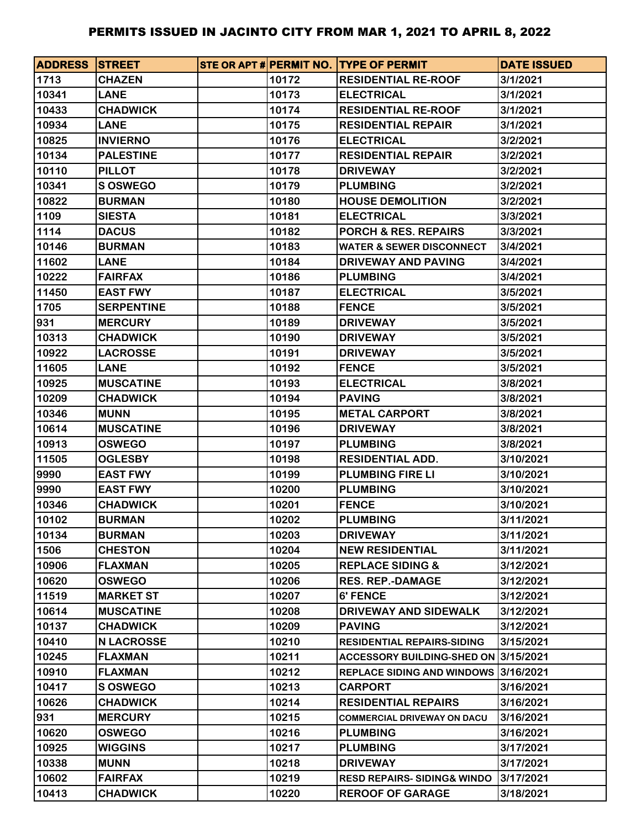| <b>ADDRESS STREET</b> |                   |       | STE OR APT # PERMIT NO. TYPE OF PERMIT | <b>DATE ISSUED</b> |
|-----------------------|-------------------|-------|----------------------------------------|--------------------|
| 1713                  | <b>CHAZEN</b>     | 10172 | <b>RESIDENTIAL RE-ROOF</b>             | 3/1/2021           |
| 10341                 | <b>LANE</b>       | 10173 | <b>ELECTRICAL</b>                      | 3/1/2021           |
| 10433                 | <b>CHADWICK</b>   | 10174 | <b>RESIDENTIAL RE-ROOF</b>             | 3/1/2021           |
| 10934                 | <b>LANE</b>       | 10175 | <b>RESIDENTIAL REPAIR</b>              | 3/1/2021           |
| 10825                 | <b>INVIERNO</b>   | 10176 | <b>ELECTRICAL</b>                      | 3/2/2021           |
| 10134                 | <b>PALESTINE</b>  | 10177 | <b>RESIDENTIAL REPAIR</b>              | 3/2/2021           |
| 10110                 | <b>PILLOT</b>     | 10178 | <b>DRIVEWAY</b>                        | 3/2/2021           |
| 10341                 | <b>S OSWEGO</b>   | 10179 | <b>PLUMBING</b>                        | 3/2/2021           |
| 10822                 | <b>BURMAN</b>     | 10180 | <b>HOUSE DEMOLITION</b>                | 3/2/2021           |
| 1109                  | <b>SIESTA</b>     | 10181 | <b>ELECTRICAL</b>                      | 3/3/2021           |
| 1114                  | <b>DACUS</b>      | 10182 | <b>PORCH &amp; RES. REPAIRS</b>        | 3/3/2021           |
| 10146                 | <b>BURMAN</b>     | 10183 | <b>WATER &amp; SEWER DISCONNECT</b>    | 3/4/2021           |
| 11602                 | <b>LANE</b>       | 10184 | <b>DRIVEWAY AND PAVING</b>             | 3/4/2021           |
| 10222                 | <b>FAIRFAX</b>    | 10186 | <b>PLUMBING</b>                        | 3/4/2021           |
| 11450                 | <b>EAST FWY</b>   | 10187 | <b>ELECTRICAL</b>                      | 3/5/2021           |
| 1705                  | <b>SERPENTINE</b> | 10188 | <b>FENCE</b>                           | 3/5/2021           |
| 931                   | <b>MERCURY</b>    | 10189 | <b>DRIVEWAY</b>                        | 3/5/2021           |
| 10313                 | <b>CHADWICK</b>   | 10190 | <b>DRIVEWAY</b>                        | 3/5/2021           |
| 10922                 | <b>LACROSSE</b>   | 10191 | <b>DRIVEWAY</b>                        | 3/5/2021           |
| 11605                 | <b>LANE</b>       | 10192 | <b>FENCE</b>                           | 3/5/2021           |
| 10925                 | <b>MUSCATINE</b>  | 10193 | <b>ELECTRICAL</b>                      | 3/8/2021           |
| 10209                 | <b>CHADWICK</b>   | 10194 | <b>PAVING</b>                          | 3/8/2021           |
| 10346                 | <b>MUNN</b>       | 10195 | <b>METAL CARPORT</b>                   | 3/8/2021           |
| 10614                 | <b>MUSCATINE</b>  | 10196 | <b>DRIVEWAY</b>                        | 3/8/2021           |
| 10913                 | <b>OSWEGO</b>     | 10197 | <b>PLUMBING</b>                        | 3/8/2021           |
| 11505                 | <b>OGLESBY</b>    | 10198 | <b>RESIDENTIAL ADD.</b>                | 3/10/2021          |
| 9990                  | <b>EAST FWY</b>   | 10199 | <b>PLUMBING FIRE LI</b>                | 3/10/2021          |
| 9990                  | <b>EAST FWY</b>   | 10200 | <b>PLUMBING</b>                        | 3/10/2021          |
| 10346                 | <b>CHADWICK</b>   | 10201 | <b>FENCE</b>                           | 3/10/2021          |
| 10102                 | <b>BURMAN</b>     | 10202 | <b>PLUMBING</b>                        | 3/11/2021          |
| 10134                 | <b>BURMAN</b>     | 10203 | <b>DRIVEWAY</b>                        | 3/11/2021          |
| 1506                  | <b>CHESTON</b>    | 10204 | <b>NEW RESIDENTIAL</b>                 | 3/11/2021          |
| 10906                 | <b>FLAXMAN</b>    | 10205 | <b>REPLACE SIDING &amp;</b>            | 3/12/2021          |
| 10620                 | <b>OSWEGO</b>     | 10206 | <b>RES. REP.-DAMAGE</b>                | 3/12/2021          |
| 11519                 | <b>MARKET ST</b>  | 10207 | <b>6' FENCE</b>                        | 3/12/2021          |
| 10614                 | <b>MUSCATINE</b>  | 10208 | DRIVEWAY AND SIDEWALK                  | 3/12/2021          |
| 10137                 | <b>CHADWICK</b>   | 10209 | <b>PAVING</b>                          | 3/12/2021          |
| 10410                 | <b>N LACROSSE</b> | 10210 | <b>RESIDENTIAL REPAIRS-SIDING</b>      | 3/15/2021          |
| 10245                 | <b>FLAXMAN</b>    | 10211 | ACCESSORY BUILDING-SHED ON 3/15/2021   |                    |
| 10910                 | <b>FLAXMAN</b>    | 10212 | <b>REPLACE SIDING AND WINDOWS</b>      | 3/16/2021          |
| 10417                 | S OSWEGO          | 10213 | <b>CARPORT</b>                         | 3/16/2021          |
| 10626                 | <b>CHADWICK</b>   | 10214 | <b>RESIDENTIAL REPAIRS</b>             | 3/16/2021          |
| 931                   | <b>MERCURY</b>    | 10215 | <b>COMMERCIAL DRIVEWAY ON DACU</b>     | 3/16/2021          |
| 10620                 | <b>OSWEGO</b>     | 10216 | <b>PLUMBING</b>                        | 3/16/2021          |
| 10925                 | <b>WIGGINS</b>    | 10217 | <b>PLUMBING</b>                        | 3/17/2021          |
| 10338                 | <b>MUNN</b>       | 10218 | <b>DRIVEWAY</b>                        | 3/17/2021          |
| 10602                 | <b>FAIRFAX</b>    | 10219 | <b>RESD REPAIRS-SIDING&amp; WINDO</b>  | 3/17/2021          |
| 10413                 | <b>CHADWICK</b>   | 10220 | <b>REROOF OF GARAGE</b>                | 3/18/2021          |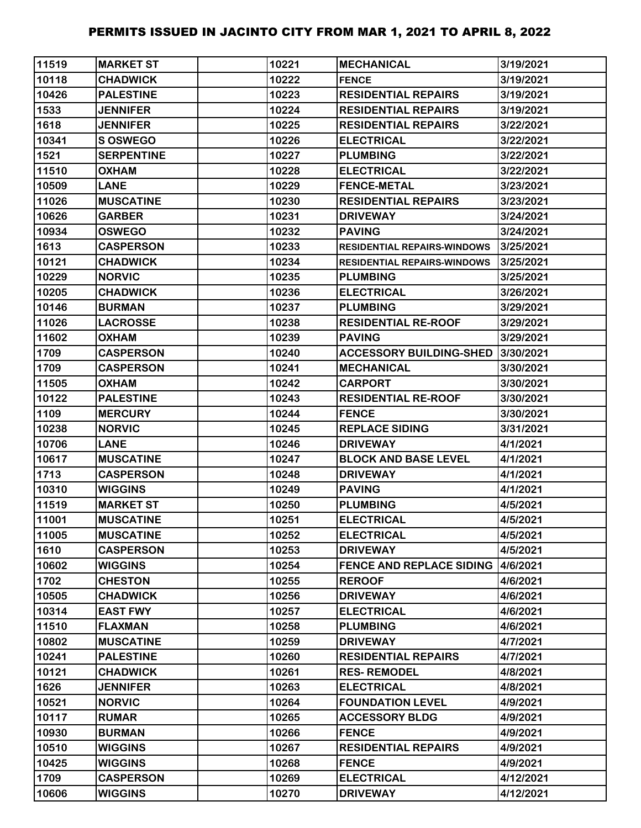| 11519 | <b>MARKET ST</b>  | 10221 | <b>MECHANICAL</b>                  | 3/19/2021 |
|-------|-------------------|-------|------------------------------------|-----------|
| 10118 | <b>CHADWICK</b>   | 10222 | <b>FENCE</b>                       | 3/19/2021 |
| 10426 | <b>PALESTINE</b>  | 10223 | <b>RESIDENTIAL REPAIRS</b>         | 3/19/2021 |
| 1533  | <b>JENNIFER</b>   | 10224 | <b>RESIDENTIAL REPAIRS</b>         | 3/19/2021 |
| 1618  | <b>JENNIFER</b>   | 10225 | <b>RESIDENTIAL REPAIRS</b>         | 3/22/2021 |
| 10341 | <b>SOSWEGO</b>    | 10226 | <b>ELECTRICAL</b>                  | 3/22/2021 |
| 1521  | <b>SERPENTINE</b> | 10227 | <b>PLUMBING</b>                    | 3/22/2021 |
| 11510 | <b>OXHAM</b>      | 10228 | <b>ELECTRICAL</b>                  | 3/22/2021 |
| 10509 | <b>LANE</b>       | 10229 | <b>FENCE-METAL</b>                 | 3/23/2021 |
| 11026 | <b>MUSCATINE</b>  | 10230 | <b>RESIDENTIAL REPAIRS</b>         | 3/23/2021 |
| 10626 | <b>GARBER</b>     | 10231 | <b>DRIVEWAY</b>                    | 3/24/2021 |
| 10934 | <b>OSWEGO</b>     | 10232 | <b>PAVING</b>                      | 3/24/2021 |
| 1613  | <b>CASPERSON</b>  | 10233 | <b>RESIDENTIAL REPAIRS-WINDOWS</b> | 3/25/2021 |
| 10121 | <b>CHADWICK</b>   | 10234 | <b>RESIDENTIAL REPAIRS-WINDOWS</b> | 3/25/2021 |
| 10229 | <b>NORVIC</b>     | 10235 | <b>PLUMBING</b>                    | 3/25/2021 |
| 10205 | <b>CHADWICK</b>   | 10236 | <b>ELECTRICAL</b>                  | 3/26/2021 |
| 10146 | <b>BURMAN</b>     | 10237 | <b>PLUMBING</b>                    | 3/29/2021 |
| 11026 | <b>LACROSSE</b>   | 10238 | <b>RESIDENTIAL RE-ROOF</b>         | 3/29/2021 |
| 11602 | <b>OXHAM</b>      | 10239 | <b>PAVING</b>                      | 3/29/2021 |
| 1709  | <b>CASPERSON</b>  | 10240 | <b>ACCESSORY BUILDING-SHED</b>     | 3/30/2021 |
| 1709  | <b>CASPERSON</b>  | 10241 | <b>MECHANICAL</b>                  | 3/30/2021 |
| 11505 | <b>OXHAM</b>      | 10242 | <b>CARPORT</b>                     | 3/30/2021 |
| 10122 | <b>PALESTINE</b>  | 10243 | <b>RESIDENTIAL RE-ROOF</b>         | 3/30/2021 |
| 1109  | <b>MERCURY</b>    | 10244 | <b>FENCE</b>                       | 3/30/2021 |
| 10238 | <b>NORVIC</b>     | 10245 | <b>REPLACE SIDING</b>              | 3/31/2021 |
| 10706 | <b>LANE</b>       | 10246 | <b>DRIVEWAY</b>                    | 4/1/2021  |
| 10617 | <b>MUSCATINE</b>  | 10247 | <b>BLOCK AND BASE LEVEL</b>        | 4/1/2021  |
| 1713  | <b>CASPERSON</b>  | 10248 | <b>DRIVEWAY</b>                    | 4/1/2021  |
| 10310 | <b>WIGGINS</b>    | 10249 | <b>PAVING</b>                      | 4/1/2021  |
| 11519 | <b>MARKET ST</b>  | 10250 | <b>PLUMBING</b>                    | 4/5/2021  |
| 11001 | <b>MUSCATINE</b>  | 10251 | <b>ELECTRICAL</b>                  | 4/5/2021  |
| 11005 | <b>MUSCATINE</b>  | 10252 | <b>ELECTRICAL</b>                  | 4/5/2021  |
| 1610  | <b>CASPERSON</b>  | 10253 | <b>DRIVEWAY</b>                    | 4/5/2021  |
| 10602 | <b>WIGGINS</b>    | 10254 | <b>FENCE AND REPLACE SIDING</b>    | 4/6/2021  |
| 1702  | <b>CHESTON</b>    | 10255 | <b>REROOF</b>                      | 4/6/2021  |
| 10505 | <b>CHADWICK</b>   | 10256 | <b>DRIVEWAY</b>                    | 4/6/2021  |
| 10314 | <b>EAST FWY</b>   | 10257 | <b>ELECTRICAL</b>                  | 4/6/2021  |
| 11510 | <b>FLAXMAN</b>    | 10258 | <b>PLUMBING</b>                    | 4/6/2021  |
| 10802 | <b>MUSCATINE</b>  | 10259 | <b>DRIVEWAY</b>                    | 4/7/2021  |
| 10241 | <b>PALESTINE</b>  | 10260 | <b>RESIDENTIAL REPAIRS</b>         | 4/7/2021  |
| 10121 | <b>CHADWICK</b>   | 10261 | <b>RES-REMODEL</b>                 | 4/8/2021  |
| 1626  | <b>JENNIFER</b>   | 10263 | <b>ELECTRICAL</b>                  | 4/8/2021  |
| 10521 | <b>NORVIC</b>     | 10264 | <b>FOUNDATION LEVEL</b>            | 4/9/2021  |
| 10117 | <b>RUMAR</b>      | 10265 | <b>ACCESSORY BLDG</b>              | 4/9/2021  |
| 10930 | <b>BURMAN</b>     | 10266 | <b>FENCE</b>                       | 4/9/2021  |
| 10510 | <b>WIGGINS</b>    | 10267 | <b>RESIDENTIAL REPAIRS</b>         | 4/9/2021  |
| 10425 | <b>WIGGINS</b>    | 10268 | <b>FENCE</b>                       | 4/9/2021  |
| 1709  | <b>CASPERSON</b>  | 10269 | <b>ELECTRICAL</b>                  | 4/12/2021 |
| 10606 | <b>WIGGINS</b>    | 10270 | <b>DRIVEWAY</b>                    | 4/12/2021 |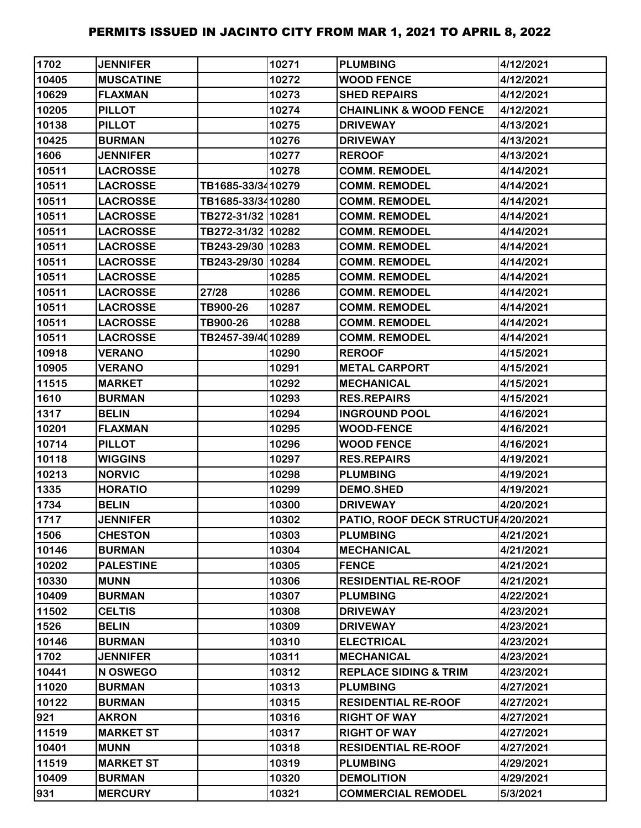| 1702  | <b>JENNIFER</b>  |                   | 10271 | <b>PLUMBING</b>                    | 4/12/2021 |
|-------|------------------|-------------------|-------|------------------------------------|-----------|
| 10405 | <b>MUSCATINE</b> |                   | 10272 | <b>WOOD FENCE</b>                  | 4/12/2021 |
| 10629 | <b>FLAXMAN</b>   |                   | 10273 | <b>SHED REPAIRS</b>                | 4/12/2021 |
| 10205 | <b>PILLOT</b>    |                   | 10274 | <b>CHAINLINK &amp; WOOD FENCE</b>  | 4/12/2021 |
| 10138 | <b>PILLOT</b>    |                   | 10275 | <b>DRIVEWAY</b>                    | 4/13/2021 |
| 10425 | <b>BURMAN</b>    |                   | 10276 | <b>DRIVEWAY</b>                    | 4/13/2021 |
| 1606  | <b>JENNIFER</b>  |                   | 10277 | <b>REROOF</b>                      | 4/13/2021 |
| 10511 | <b>LACROSSE</b>  |                   | 10278 | <b>COMM. REMODEL</b>               | 4/14/2021 |
| 10511 | <b>LACROSSE</b>  | TB1685-33/3410279 |       | <b>COMM. REMODEL</b>               | 4/14/2021 |
| 10511 | <b>LACROSSE</b>  | TB1685-33/3410280 |       | <b>COMM. REMODEL</b>               | 4/14/2021 |
| 10511 | <b>LACROSSE</b>  | TB272-31/32 10281 |       | <b>COMM. REMODEL</b>               | 4/14/2021 |
| 10511 | <b>LACROSSE</b>  | TB272-31/32 10282 |       | <b>COMM. REMODEL</b>               | 4/14/2021 |
| 10511 | <b>LACROSSE</b>  | TB243-29/30 10283 |       | <b>COMM. REMODEL</b>               | 4/14/2021 |
| 10511 | <b>LACROSSE</b>  | TB243-29/30 10284 |       | <b>COMM. REMODEL</b>               | 4/14/2021 |
| 10511 | <b>LACROSSE</b>  |                   | 10285 | <b>COMM. REMODEL</b>               | 4/14/2021 |
| 10511 | <b>LACROSSE</b>  | 27/28             | 10286 | <b>COMM. REMODEL</b>               | 4/14/2021 |
| 10511 | <b>LACROSSE</b>  | TB900-26          | 10287 | <b>COMM. REMODEL</b>               | 4/14/2021 |
| 10511 | <b>LACROSSE</b>  | TB900-26          | 10288 | <b>COMM. REMODEL</b>               | 4/14/2021 |
| 10511 | <b>LACROSSE</b>  | TB2457-39/4010289 |       | <b>COMM. REMODEL</b>               | 4/14/2021 |
| 10918 | <b>VERANO</b>    |                   | 10290 | <b>REROOF</b>                      | 4/15/2021 |
| 10905 | <b>VERANO</b>    |                   | 10291 | <b>METAL CARPORT</b>               | 4/15/2021 |
| 11515 | <b>MARKET</b>    |                   | 10292 | <b>MECHANICAL</b>                  | 4/15/2021 |
| 1610  | <b>BURMAN</b>    |                   | 10293 | <b>RES.REPAIRS</b>                 | 4/15/2021 |
| 1317  | <b>BELIN</b>     |                   | 10294 | <b>INGROUND POOL</b>               | 4/16/2021 |
| 10201 | <b>FLAXMAN</b>   |                   | 10295 | <b>WOOD-FENCE</b>                  | 4/16/2021 |
| 10714 | <b>PILLOT</b>    |                   | 10296 | <b>WOOD FENCE</b>                  | 4/16/2021 |
| 10118 | <b>WIGGINS</b>   |                   | 10297 | <b>RES.REPAIRS</b>                 | 4/19/2021 |
| 10213 | <b>NORVIC</b>    |                   | 10298 | <b>PLUMBING</b>                    | 4/19/2021 |
| 1335  | <b>HORATIO</b>   |                   | 10299 | <b>DEMO.SHED</b>                   | 4/19/2021 |
| 1734  | <b>BELIN</b>     |                   | 10300 | <b>DRIVEWAY</b>                    | 4/20/2021 |
| 1717  | <b>JENNIFER</b>  |                   | 10302 | PATIO, ROOF DECK STRUCTUI4/20/2021 |           |
| 1506  | <b>CHESTON</b>   |                   | 10303 | <b>PLUMBING</b>                    | 4/21/2021 |
| 10146 | <b>BURMAN</b>    |                   | 10304 | <b>MECHANICAL</b>                  | 4/21/2021 |
| 10202 | <b>PALESTINE</b> |                   | 10305 | <b>FENCE</b>                       | 4/21/2021 |
| 10330 | <b>MUNN</b>      |                   | 10306 | <b>RESIDENTIAL RE-ROOF</b>         | 4/21/2021 |
| 10409 | <b>BURMAN</b>    |                   | 10307 | <b>PLUMBING</b>                    | 4/22/2021 |
| 11502 | <b>CELTIS</b>    |                   | 10308 | <b>DRIVEWAY</b>                    | 4/23/2021 |
| 1526  | <b>BELIN</b>     |                   | 10309 | <b>DRIVEWAY</b>                    | 4/23/2021 |
| 10146 | <b>BURMAN</b>    |                   | 10310 | <b>ELECTRICAL</b>                  | 4/23/2021 |
| 1702  | <b>JENNIFER</b>  |                   | 10311 | <b>MECHANICAL</b>                  | 4/23/2021 |
| 10441 | N OSWEGO         |                   | 10312 | <b>REPLACE SIDING &amp; TRIM</b>   | 4/23/2021 |
| 11020 | <b>BURMAN</b>    |                   | 10313 | <b>PLUMBING</b>                    | 4/27/2021 |
| 10122 | <b>BURMAN</b>    |                   | 10315 | <b>RESIDENTIAL RE-ROOF</b>         | 4/27/2021 |
| 921   | <b>AKRON</b>     |                   | 10316 | <b>RIGHT OF WAY</b>                | 4/27/2021 |
| 11519 | <b>MARKET ST</b> |                   | 10317 | <b>RIGHT OF WAY</b>                | 4/27/2021 |
| 10401 | <b>MUNN</b>      |                   | 10318 | <b>RESIDENTIAL RE-ROOF</b>         | 4/27/2021 |
| 11519 | <b>MARKET ST</b> |                   | 10319 | <b>PLUMBING</b>                    | 4/29/2021 |
| 10409 | <b>BURMAN</b>    |                   | 10320 | <b>DEMOLITION</b>                  | 4/29/2021 |
| 931   | <b>MERCURY</b>   |                   | 10321 | <b>COMMERCIAL REMODEL</b>          | 5/3/2021  |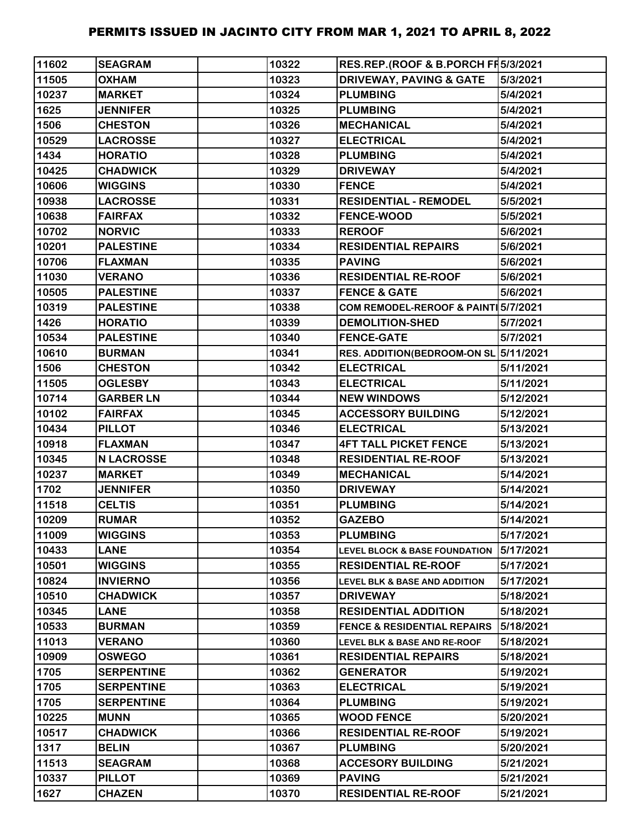| 11602 | <b>SEAGRAM</b>    | 10322 | RES.REP.(ROOF & B.PORCH FF 5/3/2021      |           |
|-------|-------------------|-------|------------------------------------------|-----------|
| 11505 | <b>OXHAM</b>      | 10323 | <b>DRIVEWAY, PAVING &amp; GATE</b>       | 5/3/2021  |
| 10237 | <b>MARKET</b>     | 10324 | <b>PLUMBING</b>                          | 5/4/2021  |
| 1625  | <b>JENNIFER</b>   | 10325 | <b>PLUMBING</b>                          | 5/4/2021  |
| 1506  | <b>CHESTON</b>    | 10326 | <b>MECHANICAL</b>                        | 5/4/2021  |
| 10529 | <b>LACROSSE</b>   | 10327 | <b>ELECTRICAL</b>                        | 5/4/2021  |
| 1434  | <b>HORATIO</b>    | 10328 | <b>PLUMBING</b>                          | 5/4/2021  |
| 10425 | <b>CHADWICK</b>   | 10329 | <b>DRIVEWAY</b>                          | 5/4/2021  |
| 10606 | <b>WIGGINS</b>    | 10330 | <b>FENCE</b>                             | 5/4/2021  |
| 10938 | <b>LACROSSE</b>   | 10331 | <b>RESIDENTIAL - REMODEL</b>             | 5/5/2021  |
| 10638 | <b>FAIRFAX</b>    | 10332 | <b>FENCE-WOOD</b>                        | 5/5/2021  |
| 10702 | <b>NORVIC</b>     | 10333 | <b>REROOF</b>                            | 5/6/2021  |
| 10201 | <b>PALESTINE</b>  | 10334 | <b>RESIDENTIAL REPAIRS</b>               | 5/6/2021  |
| 10706 | <b>FLAXMAN</b>    | 10335 | <b>PAVING</b>                            | 5/6/2021  |
| 11030 | <b>VERANO</b>     | 10336 | <b>RESIDENTIAL RE-ROOF</b>               | 5/6/2021  |
| 10505 | <b>PALESTINE</b>  | 10337 | <b>FENCE &amp; GATE</b>                  | 5/6/2021  |
| 10319 | <b>PALESTINE</b>  | 10338 | COM REMODEL-REROOF & PAINT 5/7/2021      |           |
| 1426  | <b>HORATIO</b>    | 10339 | <b>DEMOLITION-SHED</b>                   | 5/7/2021  |
| 10534 | <b>PALESTINE</b>  | 10340 | <b>FENCE-GATE</b>                        | 5/7/2021  |
| 10610 | <b>BURMAN</b>     | 10341 | RES. ADDITION(BEDROOM-ON SL 5/11/2021    |           |
| 1506  | <b>CHESTON</b>    | 10342 | <b>ELECTRICAL</b>                        | 5/11/2021 |
| 11505 | <b>OGLESBY</b>    | 10343 | <b>ELECTRICAL</b>                        | 5/11/2021 |
| 10714 | <b>GARBER LN</b>  | 10344 | <b>NEW WINDOWS</b>                       | 5/12/2021 |
| 10102 | <b>FAIRFAX</b>    | 10345 | <b>ACCESSORY BUILDING</b>                | 5/12/2021 |
| 10434 | <b>PILLOT</b>     | 10346 | <b>ELECTRICAL</b>                        | 5/13/2021 |
| 10918 | <b>FLAXMAN</b>    | 10347 | <b>4FT TALL PICKET FENCE</b>             | 5/13/2021 |
| 10345 | <b>N LACROSSE</b> | 10348 | <b>RESIDENTIAL RE-ROOF</b>               | 5/13/2021 |
| 10237 | <b>MARKET</b>     | 10349 | <b>MECHANICAL</b>                        | 5/14/2021 |
| 1702  | <b>JENNIFER</b>   | 10350 | <b>DRIVEWAY</b>                          | 5/14/2021 |
| 11518 | <b>CELTIS</b>     | 10351 | <b>PLUMBING</b>                          | 5/14/2021 |
| 10209 | <b>RUMAR</b>      | 10352 | <b>GAZEBO</b>                            | 5/14/2021 |
| 11009 | <b>WIGGINS</b>    | 10353 | <b>PLUMBING</b>                          | 5/17/2021 |
| 10433 | <b>LANE</b>       | 10354 | <b>LEVEL BLOCK &amp; BASE FOUNDATION</b> | 5/17/2021 |
| 10501 | <b>WIGGINS</b>    | 10355 | <b>RESIDENTIAL RE-ROOF</b>               | 5/17/2021 |
| 10824 | <b>INVIERNO</b>   | 10356 | <b>LEVEL BLK &amp; BASE AND ADDITION</b> | 5/17/2021 |
| 10510 | <b>CHADWICK</b>   | 10357 | <b>DRIVEWAY</b>                          | 5/18/2021 |
| 10345 | <b>LANE</b>       | 10358 | <b>RESIDENTIAL ADDITION</b>              | 5/18/2021 |
| 10533 | <b>BURMAN</b>     | 10359 | <b>FENCE &amp; RESIDENTIAL REPAIRS</b>   | 5/18/2021 |
| 11013 | <b>VERANO</b>     | 10360 | LEVEL BLK & BASE AND RE-ROOF             | 5/18/2021 |
| 10909 | <b>OSWEGO</b>     | 10361 | <b>RESIDENTIAL REPAIRS</b>               | 5/18/2021 |
| 1705  | <b>SERPENTINE</b> | 10362 | <b>GENERATOR</b>                         | 5/19/2021 |
| 1705  | <b>SERPENTINE</b> | 10363 | <b>ELECTRICAL</b>                        | 5/19/2021 |
| 1705  | <b>SERPENTINE</b> | 10364 | <b>PLUMBING</b>                          | 5/19/2021 |
| 10225 | <b>MUNN</b>       | 10365 | <b>WOOD FENCE</b>                        | 5/20/2021 |
| 10517 | <b>CHADWICK</b>   | 10366 | <b>RESIDENTIAL RE-ROOF</b>               | 5/19/2021 |
| 1317  | <b>BELIN</b>      | 10367 | <b>PLUMBING</b>                          | 5/20/2021 |
| 11513 | <b>SEAGRAM</b>    | 10368 | <b>ACCESORY BUILDING</b>                 | 5/21/2021 |
| 10337 | <b>PILLOT</b>     | 10369 | <b>PAVING</b>                            | 5/21/2021 |
| 1627  | <b>CHAZEN</b>     | 10370 | <b>RESIDENTIAL RE-ROOF</b>               | 5/21/2021 |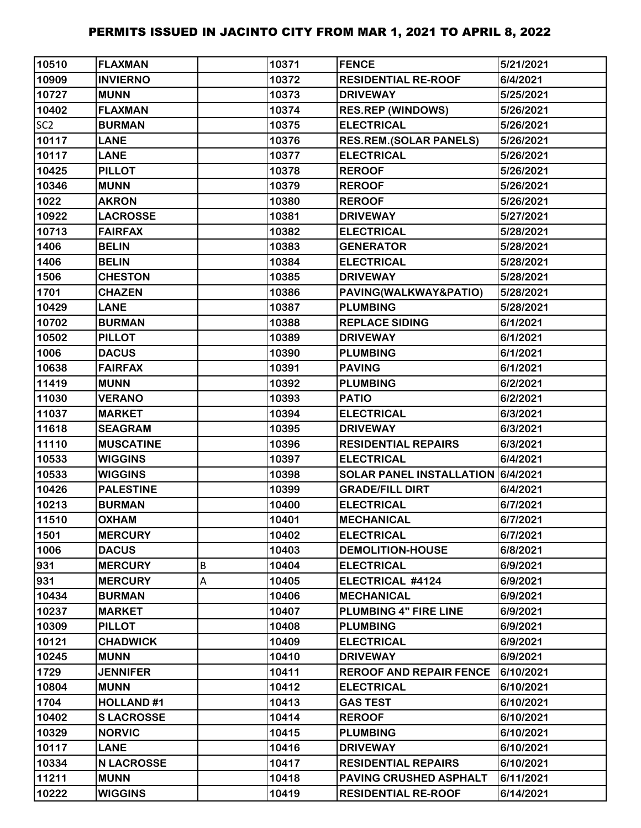| 10510           | <b>FLAXMAN</b>    |   | 10371 | <b>FENCE</b>                      | 5/21/2021 |
|-----------------|-------------------|---|-------|-----------------------------------|-----------|
| 10909           | <b>INVIERNO</b>   |   | 10372 | <b>RESIDENTIAL RE-ROOF</b>        | 6/4/2021  |
| 10727           | <b>MUNN</b>       |   | 10373 | <b>DRIVEWAY</b>                   | 5/25/2021 |
| 10402           | <b>FLAXMAN</b>    |   | 10374 | <b>RES.REP (WINDOWS)</b>          | 5/26/2021 |
| SC <sub>2</sub> | <b>BURMAN</b>     |   | 10375 | <b>ELECTRICAL</b>                 | 5/26/2021 |
| 10117           | <b>LANE</b>       |   | 10376 | <b>RES.REM.(SOLAR PANELS)</b>     | 5/26/2021 |
| 10117           | <b>LANE</b>       |   | 10377 | <b>ELECTRICAL</b>                 | 5/26/2021 |
| 10425           | <b>PILLOT</b>     |   | 10378 | <b>REROOF</b>                     | 5/26/2021 |
| 10346           | <b>MUNN</b>       |   | 10379 | <b>REROOF</b>                     | 5/26/2021 |
| 1022            | <b>AKRON</b>      |   | 10380 | <b>REROOF</b>                     | 5/26/2021 |
| 10922           | <b>LACROSSE</b>   |   | 10381 | <b>DRIVEWAY</b>                   | 5/27/2021 |
| 10713           | <b>FAIRFAX</b>    |   | 10382 | <b>ELECTRICAL</b>                 | 5/28/2021 |
| 1406            | <b>BELIN</b>      |   | 10383 | <b>GENERATOR</b>                  | 5/28/2021 |
| 1406            | <b>BELIN</b>      |   | 10384 | <b>ELECTRICAL</b>                 | 5/28/2021 |
| 1506            | <b>CHESTON</b>    |   | 10385 | <b>DRIVEWAY</b>                   | 5/28/2021 |
| 1701            | <b>CHAZEN</b>     |   | 10386 | PAVING(WALKWAY&PATIO)             | 5/28/2021 |
| 10429           | <b>LANE</b>       |   | 10387 | <b>PLUMBING</b>                   | 5/28/2021 |
| 10702           | <b>BURMAN</b>     |   | 10388 | <b>REPLACE SIDING</b>             | 6/1/2021  |
| 10502           | <b>PILLOT</b>     |   | 10389 | <b>DRIVEWAY</b>                   | 6/1/2021  |
| 1006            | <b>DACUS</b>      |   | 10390 | <b>PLUMBING</b>                   | 6/1/2021  |
| 10638           | <b>FAIRFAX</b>    |   | 10391 | <b>PAVING</b>                     | 6/1/2021  |
| 11419           | <b>MUNN</b>       |   | 10392 | <b>PLUMBING</b>                   | 6/2/2021  |
| 11030           | <b>VERANO</b>     |   | 10393 | <b>PATIO</b>                      | 6/2/2021  |
| 11037           | <b>MARKET</b>     |   | 10394 | <b>ELECTRICAL</b>                 | 6/3/2021  |
| 11618           | <b>SEAGRAM</b>    |   | 10395 | <b>DRIVEWAY</b>                   | 6/3/2021  |
| 11110           | <b>MUSCATINE</b>  |   | 10396 | <b>RESIDENTIAL REPAIRS</b>        | 6/3/2021  |
| 10533           | <b>WIGGINS</b>    |   | 10397 | <b>ELECTRICAL</b>                 | 6/4/2021  |
| 10533           | <b>WIGGINS</b>    |   | 10398 | SOLAR PANEL INSTALLATION 6/4/2021 |           |
| 10426           | <b>PALESTINE</b>  |   | 10399 | <b>GRADE/FILL DIRT</b>            | 6/4/2021  |
| 10213           | <b>BURMAN</b>     |   | 10400 | <b>ELECTRICAL</b>                 | 6/7/2021  |
| 11510           | <b>OXHAM</b>      |   | 10401 | <b>MECHANICAL</b>                 | 6/7/2021  |
| 1501            | <b>MERCURY</b>    |   | 10402 | <b>ELECTRICAL</b>                 | 6/7/2021  |
| 1006            | <b>DACUS</b>      |   | 10403 | <b>DEMOLITION-HOUSE</b>           | 6/8/2021  |
| 931             | <b>MERCURY</b>    | B | 10404 | <b>ELECTRICAL</b>                 | 6/9/2021  |
| 931             | <b>MERCURY</b>    | Α | 10405 | ELECTRICAL #4124                  | 6/9/2021  |
| 10434           | <b>BURMAN</b>     |   | 10406 | <b>MECHANICAL</b>                 | 6/9/2021  |
| 10237           | <b>MARKET</b>     |   | 10407 | PLUMBING 4" FIRE LINE             | 6/9/2021  |
| 10309           | <b>PILLOT</b>     |   | 10408 | <b>PLUMBING</b>                   | 6/9/2021  |
| 10121           | <b>CHADWICK</b>   |   | 10409 | <b>ELECTRICAL</b>                 | 6/9/2021  |
| 10245           | <b>MUNN</b>       |   | 10410 | <b>DRIVEWAY</b>                   | 6/9/2021  |
| 1729            | <b>JENNIFER</b>   |   | 10411 | <b>REROOF AND REPAIR FENCE</b>    | 6/10/2021 |
| 10804           | <b>MUNN</b>       |   | 10412 | <b>ELECTRICAL</b>                 | 6/10/2021 |
| 1704            | <b>HOLLAND#1</b>  |   | 10413 | <b>GAS TEST</b>                   | 6/10/2021 |
| 10402           | <b>SLACROSSE</b>  |   | 10414 | <b>REROOF</b>                     | 6/10/2021 |
| 10329           | <b>NORVIC</b>     |   | 10415 | <b>PLUMBING</b>                   | 6/10/2021 |
| 10117           | <b>LANE</b>       |   | 10416 | <b>DRIVEWAY</b>                   | 6/10/2021 |
| 10334           | <b>N LACROSSE</b> |   | 10417 | <b>RESIDENTIAL REPAIRS</b>        | 6/10/2021 |
| 11211           | <b>MUNN</b>       |   | 10418 | PAVING CRUSHED ASPHALT            | 6/11/2021 |
| 10222           | <b>WIGGINS</b>    |   | 10419 | <b>RESIDENTIAL RE-ROOF</b>        | 6/14/2021 |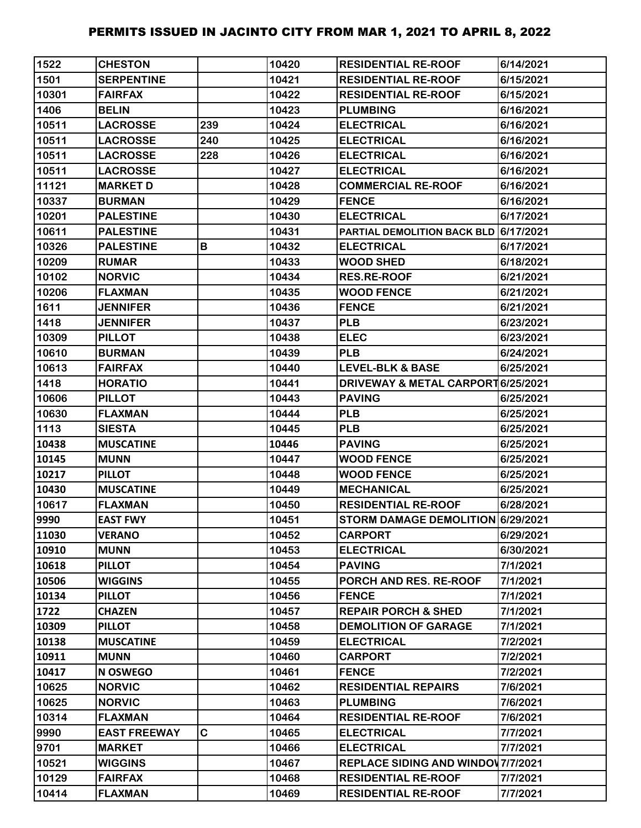| 1522  | <b>CHESTON</b>      |     | 10420 | <b>RESIDENTIAL RE-ROOF</b>                   | 6/14/2021 |
|-------|---------------------|-----|-------|----------------------------------------------|-----------|
| 1501  | <b>SERPENTINE</b>   |     | 10421 | <b>RESIDENTIAL RE-ROOF</b>                   | 6/15/2021 |
| 10301 | <b>FAIRFAX</b>      |     | 10422 | <b>RESIDENTIAL RE-ROOF</b>                   | 6/15/2021 |
| 1406  | <b>BELIN</b>        |     | 10423 | <b>PLUMBING</b>                              | 6/16/2021 |
| 10511 | <b>LACROSSE</b>     | 239 | 10424 | <b>ELECTRICAL</b>                            | 6/16/2021 |
| 10511 | <b>LACROSSE</b>     | 240 | 10425 | <b>ELECTRICAL</b>                            | 6/16/2021 |
| 10511 | <b>LACROSSE</b>     | 228 | 10426 | <b>ELECTRICAL</b>                            | 6/16/2021 |
| 10511 | <b>LACROSSE</b>     |     | 10427 | <b>ELECTRICAL</b>                            | 6/16/2021 |
| 11121 | <b>MARKET D</b>     |     | 10428 | <b>COMMERCIAL RE-ROOF</b>                    | 6/16/2021 |
| 10337 | <b>BURMAN</b>       |     | 10429 | <b>FENCE</b>                                 | 6/16/2021 |
| 10201 | <b>PALESTINE</b>    |     | 10430 | <b>ELECTRICAL</b>                            | 6/17/2021 |
| 10611 | <b>PALESTINE</b>    |     | 10431 | <b>PARTIAL DEMOLITION BACK BLD 6/17/2021</b> |           |
| 10326 | <b>PALESTINE</b>    | В   | 10432 | <b>ELECTRICAL</b>                            | 6/17/2021 |
| 10209 | <b>RUMAR</b>        |     | 10433 | <b>WOOD SHED</b>                             | 6/18/2021 |
| 10102 | <b>NORVIC</b>       |     | 10434 | <b>RES.RE-ROOF</b>                           | 6/21/2021 |
| 10206 | <b>FLAXMAN</b>      |     | 10435 | <b>WOOD FENCE</b>                            | 6/21/2021 |
| 1611  | <b>JENNIFER</b>     |     | 10436 | <b>FENCE</b>                                 | 6/21/2021 |
| 1418  | <b>JENNIFER</b>     |     | 10437 | <b>PLB</b>                                   | 6/23/2021 |
| 10309 | <b>PILLOT</b>       |     | 10438 | <b>ELEC</b>                                  | 6/23/2021 |
| 10610 | <b>BURMAN</b>       |     | 10439 | <b>PLB</b>                                   | 6/24/2021 |
| 10613 | <b>FAIRFAX</b>      |     | 10440 | <b>LEVEL-BLK &amp; BASE</b>                  | 6/25/2021 |
| 1418  | <b>HORATIO</b>      |     | 10441 | DRIVEWAY & METAL CARPORT 6/25/2021           |           |
| 10606 | <b>PILLOT</b>       |     | 10443 | <b>PAVING</b>                                | 6/25/2021 |
| 10630 | <b>FLAXMAN</b>      |     | 10444 | <b>PLB</b>                                   | 6/25/2021 |
| 1113  | <b>SIESTA</b>       |     | 10445 | <b>PLB</b>                                   | 6/25/2021 |
| 10438 | <b>MUSCATINE</b>    |     | 10446 | <b>PAVING</b>                                | 6/25/2021 |
| 10145 | <b>MUNN</b>         |     | 10447 | <b>WOOD FENCE</b>                            | 6/25/2021 |
| 10217 | <b>PILLOT</b>       |     | 10448 | <b>WOOD FENCE</b>                            | 6/25/2021 |
| 10430 | <b>MUSCATINE</b>    |     | 10449 | <b>MECHANICAL</b>                            | 6/25/2021 |
| 10617 | <b>FLAXMAN</b>      |     | 10450 | <b>RESIDENTIAL RE-ROOF</b>                   | 6/28/2021 |
| 9990  | <b>EAST FWY</b>     |     | 10451 | STORM DAMAGE DEMOLITION 6/29/2021            |           |
| 11030 | <b>VERANO</b>       |     | 10452 | <b>CARPORT</b>                               | 6/29/2021 |
| 10910 | <b>MUNN</b>         |     | 10453 | <b>ELECTRICAL</b>                            | 6/30/2021 |
| 10618 | <b>PILLOT</b>       |     | 10454 | <b>PAVING</b>                                | 7/1/2021  |
| 10506 | <b>WIGGINS</b>      |     | 10455 | PORCH AND RES. RE-ROOF                       | 7/1/2021  |
| 10134 | <b>PILLOT</b>       |     | 10456 | <b>FENCE</b>                                 | 7/1/2021  |
| 1722  | <b>CHAZEN</b>       |     | 10457 | <b>REPAIR PORCH &amp; SHED</b>               | 7/1/2021  |
| 10309 | <b>PILLOT</b>       |     | 10458 | <b>DEMOLITION OF GARAGE</b>                  | 7/1/2021  |
| 10138 | <b>MUSCATINE</b>    |     | 10459 | <b>ELECTRICAL</b>                            | 7/2/2021  |
| 10911 | <b>MUNN</b>         |     | 10460 | <b>CARPORT</b>                               | 7/2/2021  |
| 10417 | N OSWEGO            |     | 10461 | <b>FENCE</b>                                 | 7/2/2021  |
| 10625 | <b>NORVIC</b>       |     | 10462 | <b>RESIDENTIAL REPAIRS</b>                   | 7/6/2021  |
| 10625 | <b>NORVIC</b>       |     | 10463 | <b>PLUMBING</b>                              | 7/6/2021  |
| 10314 | <b>FLAXMAN</b>      |     | 10464 | <b>RESIDENTIAL RE-ROOF</b>                   | 7/6/2021  |
| 9990  | <b>EAST FREEWAY</b> | C   | 10465 | <b>ELECTRICAL</b>                            | 7/7/2021  |
| 9701  | <b>MARKET</b>       |     | 10466 | <b>ELECTRICAL</b>                            | 7/7/2021  |
| 10521 | <b>WIGGINS</b>      |     | 10467 | <b>REPLACE SIDING AND WINDOW 7/7/2021</b>    |           |
| 10129 | <b>FAIRFAX</b>      |     | 10468 | <b>RESIDENTIAL RE-ROOF</b>                   | 7/7/2021  |
| 10414 | <b>FLAXMAN</b>      |     | 10469 | <b>RESIDENTIAL RE-ROOF</b>                   | 7/7/2021  |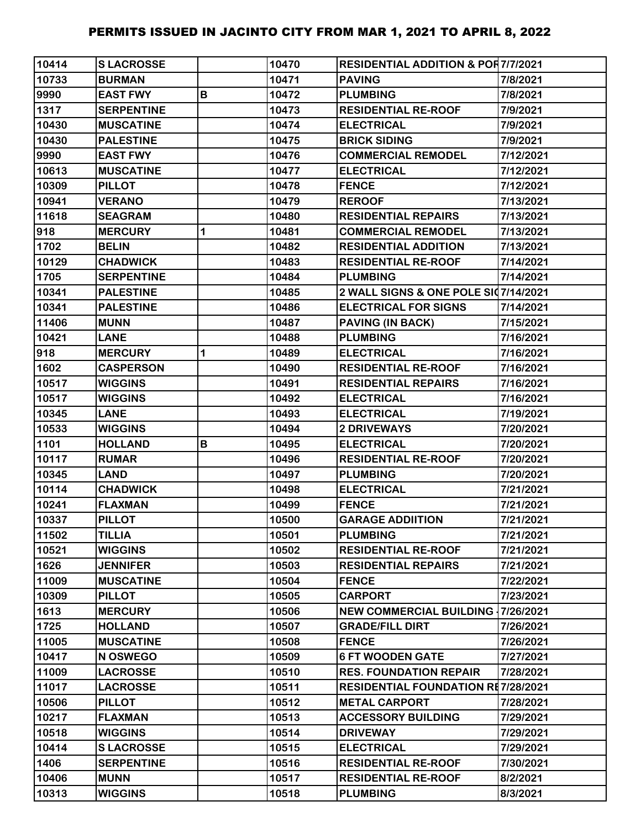| 10414 | <b>SLACROSSE</b>  |   | 10470 | <b>RESIDENTIAL ADDITION &amp; POR7/7/2021</b> |           |
|-------|-------------------|---|-------|-----------------------------------------------|-----------|
| 10733 | <b>BURMAN</b>     |   | 10471 | <b>PAVING</b>                                 | 7/8/2021  |
| 9990  | <b>EAST FWY</b>   | B | 10472 | <b>PLUMBING</b>                               | 7/8/2021  |
| 1317  | <b>SERPENTINE</b> |   | 10473 | <b>RESIDENTIAL RE-ROOF</b>                    | 7/9/2021  |
| 10430 | <b>MUSCATINE</b>  |   | 10474 | <b>ELECTRICAL</b>                             | 7/9/2021  |
| 10430 | <b>PALESTINE</b>  |   | 10475 | <b>BRICK SIDING</b>                           | 7/9/2021  |
| 9990  | <b>EAST FWY</b>   |   | 10476 | <b>COMMERCIAL REMODEL</b>                     | 7/12/2021 |
| 10613 | <b>MUSCATINE</b>  |   | 10477 | <b>ELECTRICAL</b>                             | 7/12/2021 |
| 10309 | <b>PILLOT</b>     |   | 10478 | <b>FENCE</b>                                  | 7/12/2021 |
| 10941 | <b>VERANO</b>     |   | 10479 | <b>REROOF</b>                                 | 7/13/2021 |
| 11618 | <b>SEAGRAM</b>    |   | 10480 | <b>RESIDENTIAL REPAIRS</b>                    | 7/13/2021 |
| 918   | <b>MERCURY</b>    | 1 | 10481 | <b>COMMERCIAL REMODEL</b>                     | 7/13/2021 |
| 1702  | <b>BELIN</b>      |   | 10482 | <b>RESIDENTIAL ADDITION</b>                   | 7/13/2021 |
| 10129 | <b>CHADWICK</b>   |   | 10483 | <b>RESIDENTIAL RE-ROOF</b>                    | 7/14/2021 |
| 1705  | <b>SERPENTINE</b> |   | 10484 | <b>PLUMBING</b>                               | 7/14/2021 |
| 10341 | <b>PALESTINE</b>  |   | 10485 | 2 WALL SIGNS & ONE POLE SI07/14/2021          |           |
| 10341 | <b>PALESTINE</b>  |   | 10486 | <b>ELECTRICAL FOR SIGNS</b>                   | 7/14/2021 |
| 11406 | <b>MUNN</b>       |   | 10487 | <b>PAVING (IN BACK)</b>                       | 7/15/2021 |
| 10421 | <b>LANE</b>       |   | 10488 | <b>PLUMBING</b>                               | 7/16/2021 |
| 918   | <b>MERCURY</b>    | 1 | 10489 | <b>ELECTRICAL</b>                             | 7/16/2021 |
| 1602  | <b>CASPERSON</b>  |   | 10490 | <b>RESIDENTIAL RE-ROOF</b>                    | 7/16/2021 |
| 10517 | <b>WIGGINS</b>    |   | 10491 | <b>RESIDENTIAL REPAIRS</b>                    | 7/16/2021 |
| 10517 | <b>WIGGINS</b>    |   | 10492 | <b>ELECTRICAL</b>                             | 7/16/2021 |
| 10345 | <b>LANE</b>       |   | 10493 | <b>ELECTRICAL</b>                             | 7/19/2021 |
| 10533 | <b>WIGGINS</b>    |   | 10494 | 2 DRIVEWAYS                                   | 7/20/2021 |
| 1101  | <b>HOLLAND</b>    | B | 10495 | <b>ELECTRICAL</b>                             | 7/20/2021 |
| 10117 | <b>RUMAR</b>      |   | 10496 | <b>RESIDENTIAL RE-ROOF</b>                    | 7/20/2021 |
| 10345 | <b>LAND</b>       |   | 10497 | <b>PLUMBING</b>                               | 7/20/2021 |
| 10114 | <b>CHADWICK</b>   |   | 10498 | <b>ELECTRICAL</b>                             | 7/21/2021 |
| 10241 | <b>FLAXMAN</b>    |   | 10499 | <b>FENCE</b>                                  | 7/21/2021 |
| 10337 | <b>PILLOT</b>     |   | 10500 | <b>GARAGE ADDIITION</b>                       | 7/21/2021 |
| 11502 | <b>TILLIA</b>     |   | 10501 | <b>PLUMBING</b>                               | 7/21/2021 |
| 10521 | <b>WIGGINS</b>    |   | 10502 | <b>RESIDENTIAL RE-ROOF</b>                    | 7/21/2021 |
| 1626  | <b>JENNIFER</b>   |   | 10503 | <b>RESIDENTIAL REPAIRS</b>                    | 7/21/2021 |
| 11009 | <b>MUSCATINE</b>  |   | 10504 | <b>FENCE</b>                                  | 7/22/2021 |
| 10309 | <b>PILLOT</b>     |   | 10505 | <b>CARPORT</b>                                | 7/23/2021 |
| 1613  | <b>MERCURY</b>    |   | 10506 | <b>NEW COMMERCIAL BUILDING 17/26/2021</b>     |           |
| 1725  | <b>HOLLAND</b>    |   | 10507 | <b>GRADE/FILL DIRT</b>                        | 7/26/2021 |
| 11005 | <b>MUSCATINE</b>  |   | 10508 | <b>FENCE</b>                                  | 7/26/2021 |
| 10417 | N OSWEGO          |   | 10509 | <b>6 FT WOODEN GATE</b>                       | 7/27/2021 |
| 11009 | <b>LACROSSE</b>   |   | 10510 | <b>RES. FOUNDATION REPAIR</b>                 | 7/28/2021 |
| 11017 | <b>LACROSSE</b>   |   | 10511 | <b>RESIDENTIAL FOUNDATION RE7/28/2021</b>     |           |
| 10506 | <b>PILLOT</b>     |   | 10512 | <b>METAL CARPORT</b>                          | 7/28/2021 |
| 10217 | <b>FLAXMAN</b>    |   | 10513 | <b>ACCESSORY BUILDING</b>                     | 7/29/2021 |
| 10518 | <b>WIGGINS</b>    |   | 10514 | <b>DRIVEWAY</b>                               | 7/29/2021 |
| 10414 | <b>SLACROSSE</b>  |   | 10515 | <b>ELECTRICAL</b>                             | 7/29/2021 |
| 1406  | <b>SERPENTINE</b> |   | 10516 | <b>RESIDENTIAL RE-ROOF</b>                    | 7/30/2021 |
| 10406 | <b>MUNN</b>       |   | 10517 | <b>RESIDENTIAL RE-ROOF</b>                    | 8/2/2021  |
| 10313 | <b>WIGGINS</b>    |   | 10518 | <b>PLUMBING</b>                               | 8/3/2021  |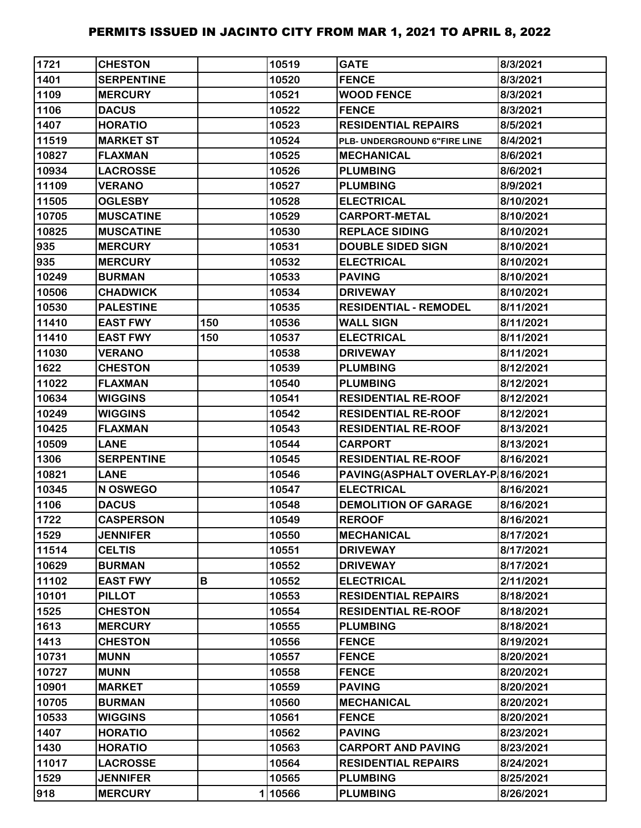| 1721  | <b>CHESTON</b>    |     | 10519  | <b>GATE</b>                        | 8/3/2021  |
|-------|-------------------|-----|--------|------------------------------------|-----------|
| 1401  | <b>SERPENTINE</b> |     | 10520  | <b>FENCE</b>                       | 8/3/2021  |
| 1109  | <b>MERCURY</b>    |     | 10521  | <b>WOOD FENCE</b>                  | 8/3/2021  |
| 1106  | <b>DACUS</b>      |     | 10522  | <b>FENCE</b>                       | 8/3/2021  |
| 1407  | <b>HORATIO</b>    |     | 10523  | <b>RESIDENTIAL REPAIRS</b>         | 8/5/2021  |
| 11519 | <b>MARKET ST</b>  |     | 10524  | PLB- UNDERGROUND 6"FIRE LINE       | 8/4/2021  |
| 10827 | <b>FLAXMAN</b>    |     | 10525  | <b>MECHANICAL</b>                  | 8/6/2021  |
| 10934 | <b>LACROSSE</b>   |     | 10526  | <b>PLUMBING</b>                    | 8/6/2021  |
| 11109 | <b>VERANO</b>     |     | 10527  | <b>PLUMBING</b>                    | 8/9/2021  |
| 11505 | <b>OGLESBY</b>    |     | 10528  | <b>ELECTRICAL</b>                  | 8/10/2021 |
| 10705 | <b>MUSCATINE</b>  |     | 10529  | <b>CARPORT-METAL</b>               | 8/10/2021 |
| 10825 | <b>MUSCATINE</b>  |     | 10530  | <b>REPLACE SIDING</b>              | 8/10/2021 |
| 935   | <b>MERCURY</b>    |     | 10531  | <b>DOUBLE SIDED SIGN</b>           | 8/10/2021 |
| 935   | <b>MERCURY</b>    |     | 10532  | <b>ELECTRICAL</b>                  | 8/10/2021 |
| 10249 | <b>BURMAN</b>     |     | 10533  | <b>PAVING</b>                      | 8/10/2021 |
| 10506 | <b>CHADWICK</b>   |     | 10534  | <b>DRIVEWAY</b>                    | 8/10/2021 |
| 10530 | <b>PALESTINE</b>  |     | 10535  | <b>RESIDENTIAL - REMODEL</b>       | 8/11/2021 |
| 11410 | <b>EAST FWY</b>   | 150 | 10536  | <b>WALL SIGN</b>                   | 8/11/2021 |
| 11410 | <b>EAST FWY</b>   | 150 | 10537  | <b>ELECTRICAL</b>                  | 8/11/2021 |
| 11030 | <b>VERANO</b>     |     | 10538  | <b>DRIVEWAY</b>                    | 8/11/2021 |
| 1622  | <b>CHESTON</b>    |     | 10539  | <b>PLUMBING</b>                    | 8/12/2021 |
| 11022 | <b>FLAXMAN</b>    |     | 10540  | <b>PLUMBING</b>                    | 8/12/2021 |
| 10634 | <b>WIGGINS</b>    |     | 10541  | <b>RESIDENTIAL RE-ROOF</b>         | 8/12/2021 |
| 10249 | <b>WIGGINS</b>    |     | 10542  | <b>RESIDENTIAL RE-ROOF</b>         | 8/12/2021 |
| 10425 | <b>FLAXMAN</b>    |     | 10543  | <b>RESIDENTIAL RE-ROOF</b>         | 8/13/2021 |
| 10509 | <b>LANE</b>       |     | 10544  | <b>CARPORT</b>                     | 8/13/2021 |
| 1306  | <b>SERPENTINE</b> |     | 10545  | <b>RESIDENTIAL RE-ROOF</b>         | 8/16/2021 |
| 10821 | <b>LANE</b>       |     | 10546  | PAVING(ASPHALT OVERLAY-P 8/16/2021 |           |
| 10345 | N OSWEGO          |     | 10547  | <b>ELECTRICAL</b>                  | 8/16/2021 |
| 1106  | <b>DACUS</b>      |     | 10548  | <b>DEMOLITION OF GARAGE</b>        | 8/16/2021 |
| 1722  | <b>CASPERSON</b>  |     | 10549  | <b>REROOF</b>                      | 8/16/2021 |
| 1529  | <b>JENNIFER</b>   |     | 10550  | <b>MECHANICAL</b>                  | 8/17/2021 |
| 11514 | <b>CELTIS</b>     |     | 10551  | <b>DRIVEWAY</b>                    | 8/17/2021 |
| 10629 | <b>BURMAN</b>     |     | 10552  | <b>DRIVEWAY</b>                    | 8/17/2021 |
| 11102 | <b>EAST FWY</b>   | В   | 10552  | <b>ELECTRICAL</b>                  | 2/11/2021 |
| 10101 | <b>PILLOT</b>     |     | 10553  | <b>RESIDENTIAL REPAIRS</b>         | 8/18/2021 |
| 1525  | <b>CHESTON</b>    |     | 10554  | <b>RESIDENTIAL RE-ROOF</b>         | 8/18/2021 |
| 1613  | <b>MERCURY</b>    |     | 10555  | <b>PLUMBING</b>                    | 8/18/2021 |
| 1413  | <b>CHESTON</b>    |     | 10556  | <b>FENCE</b>                       | 8/19/2021 |
| 10731 | <b>MUNN</b>       |     | 10557  | <b>FENCE</b>                       | 8/20/2021 |
| 10727 | <b>MUNN</b>       |     | 10558  | <b>FENCE</b>                       | 8/20/2021 |
| 10901 | <b>MARKET</b>     |     | 10559  | <b>PAVING</b>                      | 8/20/2021 |
| 10705 | <b>BURMAN</b>     |     | 10560  | <b>MECHANICAL</b>                  | 8/20/2021 |
| 10533 | <b>WIGGINS</b>    |     | 10561  | <b>FENCE</b>                       | 8/20/2021 |
| 1407  | <b>HORATIO</b>    |     | 10562  | <b>PAVING</b>                      | 8/23/2021 |
| 1430  | <b>HORATIO</b>    |     | 10563  | <b>CARPORT AND PAVING</b>          | 8/23/2021 |
| 11017 | <b>LACROSSE</b>   |     | 10564  | <b>RESIDENTIAL REPAIRS</b>         | 8/24/2021 |
| 1529  | <b>JENNIFER</b>   |     | 10565  | <b>PLUMBING</b>                    | 8/25/2021 |
| 918   | <b>MERCURY</b>    |     | 110566 | <b>PLUMBING</b>                    | 8/26/2021 |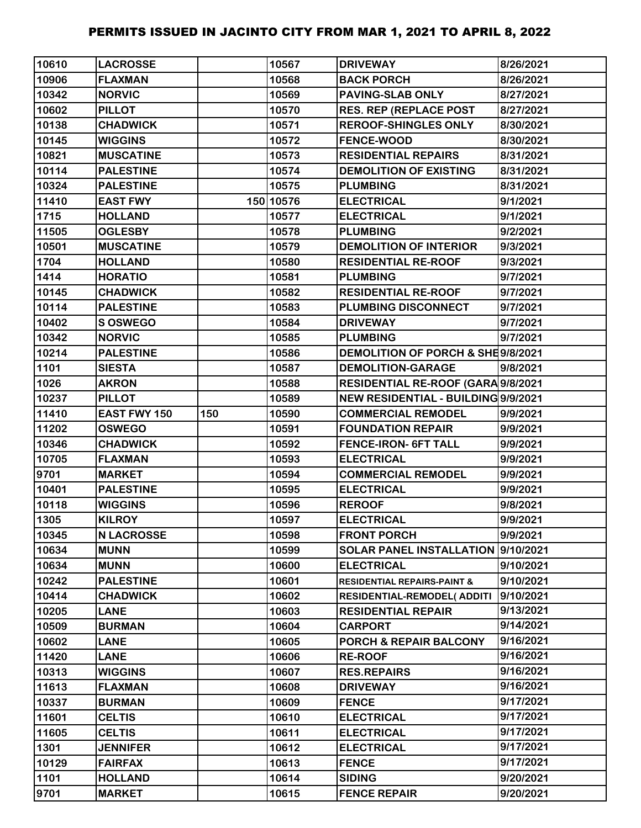| 10610 | <b>LACROSSE</b>   |     | 10567     | <b>DRIVEWAY</b>                        | 8/26/2021 |
|-------|-------------------|-----|-----------|----------------------------------------|-----------|
| 10906 | <b>FLAXMAN</b>    |     | 10568     | <b>BACK PORCH</b>                      | 8/26/2021 |
| 10342 | <b>NORVIC</b>     |     | 10569     | <b>PAVING-SLAB ONLY</b>                | 8/27/2021 |
| 10602 | <b>PILLOT</b>     |     | 10570     | <b>RES. REP (REPLACE POST</b>          | 8/27/2021 |
| 10138 | <b>CHADWICK</b>   |     | 10571     | <b>REROOF-SHINGLES ONLY</b>            | 8/30/2021 |
| 10145 | <b>WIGGINS</b>    |     | 10572     | <b>FENCE-WOOD</b>                      | 8/30/2021 |
| 10821 | <b>MUSCATINE</b>  |     | 10573     | <b>RESIDENTIAL REPAIRS</b>             | 8/31/2021 |
| 10114 | <b>PALESTINE</b>  |     | 10574     | <b>DEMOLITION OF EXISTING</b>          | 8/31/2021 |
| 10324 | <b>PALESTINE</b>  |     | 10575     | <b>PLUMBING</b>                        | 8/31/2021 |
| 11410 | <b>EAST FWY</b>   |     | 150 10576 | <b>ELECTRICAL</b>                      | 9/1/2021  |
| 1715  | <b>HOLLAND</b>    |     | 10577     | <b>ELECTRICAL</b>                      | 9/1/2021  |
| 11505 | <b>OGLESBY</b>    |     | 10578     | <b>PLUMBING</b>                        | 9/2/2021  |
| 10501 | <b>MUSCATINE</b>  |     | 10579     | <b>DEMOLITION OF INTERIOR</b>          | 9/3/2021  |
| 1704  | <b>HOLLAND</b>    |     | 10580     | <b>RESIDENTIAL RE-ROOF</b>             | 9/3/2021  |
| 1414  | <b>HORATIO</b>    |     | 10581     | <b>PLUMBING</b>                        | 9/7/2021  |
| 10145 | <b>CHADWICK</b>   |     | 10582     | <b>RESIDENTIAL RE-ROOF</b>             | 9/7/2021  |
| 10114 | <b>PALESTINE</b>  |     | 10583     | <b>PLUMBING DISCONNECT</b>             | 9/7/2021  |
| 10402 | S OSWEGO          |     | 10584     | <b>DRIVEWAY</b>                        | 9/7/2021  |
| 10342 | <b>NORVIC</b>     |     | 10585     | <b>PLUMBING</b>                        | 9/7/2021  |
| 10214 | <b>PALESTINE</b>  |     | 10586     | DEMOLITION OF PORCH & SHE9/8/2021      |           |
| 1101  | <b>SIESTA</b>     |     | 10587     | <b>DEMOLITION-GARAGE</b>               | 9/8/2021  |
| 1026  | <b>AKRON</b>      |     | 10588     | RESIDENTIAL RE-ROOF (GARA 9/8/2021     |           |
| 10237 | <b>PILLOT</b>     |     | 10589     | NEW RESIDENTIAL - BUILDING 9/9/2021    |           |
| 11410 | EAST FWY 150      | 150 | 10590     | <b>COMMERCIAL REMODEL</b>              | 9/9/2021  |
| 11202 | <b>OSWEGO</b>     |     | 10591     | <b>FOUNDATION REPAIR</b>               | 9/9/2021  |
| 10346 | <b>CHADWICK</b>   |     | 10592     | <b>FENCE-IRON- 6FT TALL</b>            | 9/9/2021  |
| 10705 | <b>FLAXMAN</b>    |     | 10593     | <b>ELECTRICAL</b>                      | 9/9/2021  |
| 9701  | <b>MARKET</b>     |     | 10594     | <b>COMMERCIAL REMODEL</b>              | 9/9/2021  |
| 10401 | <b>PALESTINE</b>  |     | 10595     | <b>ELECTRICAL</b>                      | 9/9/2021  |
| 10118 | <b>WIGGINS</b>    |     | 10596     | <b>REROOF</b>                          | 9/8/2021  |
| 1305  | <b>KILROY</b>     |     | 10597     | <b>ELECTRICAL</b>                      | 9/9/2021  |
| 10345 | <b>N LACROSSE</b> |     | 10598     | <b>FRONT PORCH</b>                     | 9/9/2021  |
| 10634 | <b>MUNN</b>       |     | 10599     | SOLAR PANEL INSTALLATION 9/10/2021     |           |
| 10634 | <b>MUNN</b>       |     | 10600     | <b>ELECTRICAL</b>                      | 9/10/2021 |
| 10242 | <b>PALESTINE</b>  |     | 10601     | <b>RESIDENTIAL REPAIRS-PAINT &amp;</b> | 9/10/2021 |
| 10414 | <b>CHADWICK</b>   |     | 10602     | <b>RESIDENTIAL-REMODEL( ADDITI</b>     | 9/10/2021 |
| 10205 | <b>LANE</b>       |     | 10603     | <b>RESIDENTIAL REPAIR</b>              | 9/13/2021 |
| 10509 | <b>BURMAN</b>     |     | 10604     | <b>CARPORT</b>                         | 9/14/2021 |
| 10602 | <b>LANE</b>       |     | 10605     | <b>PORCH &amp; REPAIR BALCONY</b>      | 9/16/2021 |
| 11420 | <b>LANE</b>       |     | 10606     | <b>RE-ROOF</b>                         | 9/16/2021 |
| 10313 | <b>WIGGINS</b>    |     | 10607     | <b>RES.REPAIRS</b>                     | 9/16/2021 |
| 11613 | <b>FLAXMAN</b>    |     | 10608     | <b>DRIVEWAY</b>                        | 9/16/2021 |
| 10337 | <b>BURMAN</b>     |     | 10609     | <b>FENCE</b>                           | 9/17/2021 |
| 11601 | <b>CELTIS</b>     |     | 10610     | <b>ELECTRICAL</b>                      | 9/17/2021 |
| 11605 | <b>CELTIS</b>     |     | 10611     | <b>ELECTRICAL</b>                      | 9/17/2021 |
| 1301  | <b>JENNIFER</b>   |     | 10612     | <b>ELECTRICAL</b>                      | 9/17/2021 |
| 10129 | <b>FAIRFAX</b>    |     | 10613     | <b>FENCE</b>                           | 9/17/2021 |
| 1101  | <b>HOLLAND</b>    |     | 10614     | <b>SIDING</b>                          | 9/20/2021 |
| 9701  | <b>MARKET</b>     |     | 10615     | <b>FENCE REPAIR</b>                    | 9/20/2021 |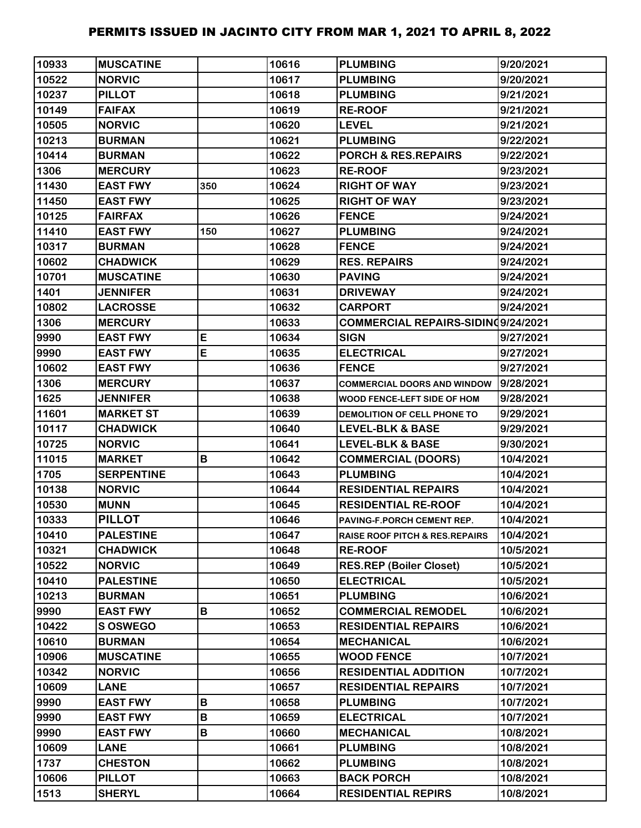| 10933 | <b>MUSCATINE</b>  |     | 10616 | <b>PLUMBING</b>                           | 9/20/2021 |
|-------|-------------------|-----|-------|-------------------------------------------|-----------|
| 10522 | <b>NORVIC</b>     |     | 10617 | <b>PLUMBING</b>                           | 9/20/2021 |
| 10237 | <b>PILLOT</b>     |     | 10618 | <b>PLUMBING</b>                           | 9/21/2021 |
| 10149 | <b>FAIFAX</b>     |     | 10619 | <b>RE-ROOF</b>                            | 9/21/2021 |
| 10505 | <b>NORVIC</b>     |     | 10620 | <b>LEVEL</b>                              | 9/21/2021 |
| 10213 | <b>BURMAN</b>     |     | 10621 | <b>PLUMBING</b>                           | 9/22/2021 |
| 10414 | <b>BURMAN</b>     |     | 10622 | <b>PORCH &amp; RES.REPAIRS</b>            | 9/22/2021 |
| 1306  | <b>MERCURY</b>    |     | 10623 | <b>RE-ROOF</b>                            | 9/23/2021 |
| 11430 | <b>EAST FWY</b>   | 350 | 10624 | <b>RIGHT OF WAY</b>                       | 9/23/2021 |
| 11450 | <b>EAST FWY</b>   |     | 10625 | <b>RIGHT OF WAY</b>                       | 9/23/2021 |
| 10125 | <b>FAIRFAX</b>    |     | 10626 | <b>FENCE</b>                              | 9/24/2021 |
| 11410 | <b>EAST FWY</b>   | 150 | 10627 | <b>PLUMBING</b>                           | 9/24/2021 |
| 10317 | <b>BURMAN</b>     |     | 10628 | <b>FENCE</b>                              | 9/24/2021 |
| 10602 | <b>CHADWICK</b>   |     | 10629 | <b>RES. REPAIRS</b>                       | 9/24/2021 |
| 10701 | <b>MUSCATINE</b>  |     | 10630 | <b>PAVING</b>                             | 9/24/2021 |
| 1401  | <b>JENNIFER</b>   |     | 10631 | <b>DRIVEWAY</b>                           | 9/24/2021 |
| 10802 | <b>LACROSSE</b>   |     | 10632 | <b>CARPORT</b>                            | 9/24/2021 |
| 1306  | <b>MERCURY</b>    |     | 10633 | COMMERCIAL REPAIRS-SIDINQ9/24/2021        |           |
| 9990  | <b>EAST FWY</b>   | E   | 10634 | <b>SIGN</b>                               | 9/27/2021 |
| 9990  | <b>EAST FWY</b>   | E   | 10635 | <b>ELECTRICAL</b>                         | 9/27/2021 |
| 10602 | <b>EAST FWY</b>   |     | 10636 | <b>FENCE</b>                              | 9/27/2021 |
| 1306  | <b>MERCURY</b>    |     | 10637 | <b>COMMERCIAL DOORS AND WINDOW</b>        | 9/28/2021 |
| 1625  | <b>JENNIFER</b>   |     | 10638 | WOOD FENCE-LEFT SIDE OF HOM               | 9/28/2021 |
| 11601 | <b>MARKET ST</b>  |     | 10639 | DEMOLITION OF CELL PHONE TO               | 9/29/2021 |
| 10117 | <b>CHADWICK</b>   |     | 10640 | LEVEL-BLK & BASE                          | 9/29/2021 |
| 10725 | <b>NORVIC</b>     |     | 10641 | <b>LEVEL-BLK &amp; BASE</b>               | 9/30/2021 |
| 11015 | <b>MARKET</b>     | В   | 10642 | <b>COMMERCIAL (DOORS)</b>                 | 10/4/2021 |
| 1705  | <b>SERPENTINE</b> |     | 10643 | <b>PLUMBING</b>                           | 10/4/2021 |
| 10138 | <b>NORVIC</b>     |     | 10644 | <b>RESIDENTIAL REPAIRS</b>                | 10/4/2021 |
| 10530 | <b>MUNN</b>       |     | 10645 | <b>RESIDENTIAL RE-ROOF</b>                | 10/4/2021 |
| 10333 | <b>PILLOT</b>     |     | 10646 | PAVING-F.PORCH CEMENT REP.                | 10/4/2021 |
| 10410 | <b>PALESTINE</b>  |     | 10647 | <b>RAISE ROOF PITCH &amp; RES.REPAIRS</b> | 10/4/2021 |
| 10321 | <b>CHADWICK</b>   |     | 10648 | <b>RE-ROOF</b>                            | 10/5/2021 |
| 10522 | <b>NORVIC</b>     |     | 10649 | <b>RES.REP (Boiler Closet)</b>            | 10/5/2021 |
| 10410 | <b>PALESTINE</b>  |     | 10650 | <b>ELECTRICAL</b>                         | 10/5/2021 |
| 10213 | <b>BURMAN</b>     |     | 10651 | <b>PLUMBING</b>                           | 10/6/2021 |
| 9990  | <b>EAST FWY</b>   | В   | 10652 | <b>COMMERCIAL REMODEL</b>                 | 10/6/2021 |
| 10422 | S OSWEGO          |     | 10653 | <b>RESIDENTIAL REPAIRS</b>                | 10/6/2021 |
| 10610 | <b>BURMAN</b>     |     | 10654 | <b>MECHANICAL</b>                         | 10/6/2021 |
| 10906 | <b>MUSCATINE</b>  |     | 10655 | <b>WOOD FENCE</b>                         | 10/7/2021 |
| 10342 | <b>NORVIC</b>     |     | 10656 | <b>RESIDENTIAL ADDITION</b>               | 10/7/2021 |
| 10609 | <b>LANE</b>       |     | 10657 | <b>RESIDENTIAL REPAIRS</b>                | 10/7/2021 |
| 9990  | <b>EAST FWY</b>   | B   | 10658 | <b>PLUMBING</b>                           | 10/7/2021 |
| 9990  | <b>EAST FWY</b>   | В   | 10659 | <b>ELECTRICAL</b>                         | 10/7/2021 |
| 9990  | <b>EAST FWY</b>   | B   | 10660 | <b>MECHANICAL</b>                         | 10/8/2021 |
| 10609 | <b>LANE</b>       |     | 10661 | <b>PLUMBING</b>                           | 10/8/2021 |
| 1737  | <b>CHESTON</b>    |     | 10662 | <b>PLUMBING</b>                           | 10/8/2021 |
| 10606 | <b>PILLOT</b>     |     | 10663 | <b>BACK PORCH</b>                         | 10/8/2021 |
| 1513  | <b>SHERYL</b>     |     | 10664 | <b>RESIDENTIAL REPIRS</b>                 | 10/8/2021 |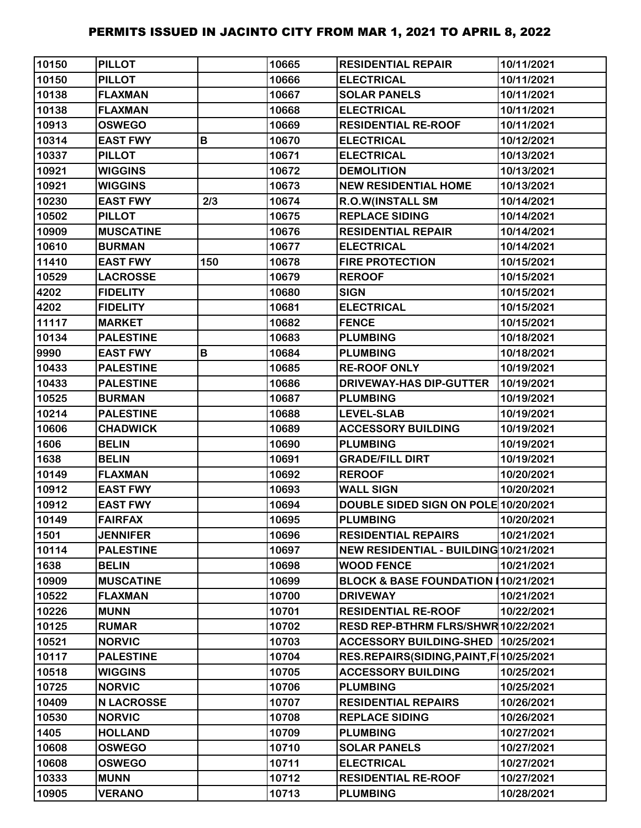| 10150 | <b>PILLOT</b>     |     | 10665 | <b>RESIDENTIAL REPAIR</b>               | 10/11/2021 |
|-------|-------------------|-----|-------|-----------------------------------------|------------|
| 10150 | <b>PILLOT</b>     |     | 10666 | <b>ELECTRICAL</b>                       | 10/11/2021 |
| 10138 | <b>FLAXMAN</b>    |     | 10667 | <b>SOLAR PANELS</b>                     | 10/11/2021 |
| 10138 | <b>FLAXMAN</b>    |     | 10668 | <b>ELECTRICAL</b>                       | 10/11/2021 |
| 10913 | <b>OSWEGO</b>     |     | 10669 | <b>RESIDENTIAL RE-ROOF</b>              | 10/11/2021 |
| 10314 | <b>EAST FWY</b>   | В   | 10670 | <b>ELECTRICAL</b>                       | 10/12/2021 |
| 10337 | <b>PILLOT</b>     |     | 10671 | <b>ELECTRICAL</b>                       | 10/13/2021 |
| 10921 | <b>WIGGINS</b>    |     | 10672 | <b>DEMOLITION</b>                       | 10/13/2021 |
| 10921 | <b>WIGGINS</b>    |     | 10673 | <b>NEW RESIDENTIAL HOME</b>             | 10/13/2021 |
| 10230 | <b>EAST FWY</b>   | 2/3 | 10674 | <b>R.O.W(INSTALL SM</b>                 | 10/14/2021 |
| 10502 | <b>PILLOT</b>     |     | 10675 | <b>REPLACE SIDING</b>                   | 10/14/2021 |
| 10909 | <b>MUSCATINE</b>  |     | 10676 | <b>RESIDENTIAL REPAIR</b>               | 10/14/2021 |
| 10610 | <b>BURMAN</b>     |     | 10677 | <b>ELECTRICAL</b>                       | 10/14/2021 |
| 11410 | <b>EAST FWY</b>   | 150 | 10678 | <b>FIRE PROTECTION</b>                  | 10/15/2021 |
| 10529 | <b>LACROSSE</b>   |     | 10679 | <b>REROOF</b>                           | 10/15/2021 |
| 4202  | <b>FIDELITY</b>   |     | 10680 | <b>SIGN</b>                             | 10/15/2021 |
| 4202  | <b>FIDELITY</b>   |     | 10681 | <b>ELECTRICAL</b>                       | 10/15/2021 |
| 11117 | <b>MARKET</b>     |     | 10682 | <b>FENCE</b>                            | 10/15/2021 |
| 10134 | <b>PALESTINE</b>  |     | 10683 | <b>PLUMBING</b>                         | 10/18/2021 |
| 9990  | <b>EAST FWY</b>   | В   | 10684 | <b>PLUMBING</b>                         | 10/18/2021 |
| 10433 | <b>PALESTINE</b>  |     | 10685 | <b>RE-ROOF ONLY</b>                     | 10/19/2021 |
| 10433 | <b>PALESTINE</b>  |     | 10686 | DRIVEWAY-HAS DIP-GUTTER                 | 10/19/2021 |
| 10525 | <b>BURMAN</b>     |     | 10687 | <b>PLUMBING</b>                         | 10/19/2021 |
| 10214 | <b>PALESTINE</b>  |     | 10688 | <b>LEVEL-SLAB</b>                       | 10/19/2021 |
| 10606 | <b>CHADWICK</b>   |     | 10689 | <b>ACCESSORY BUILDING</b>               | 10/19/2021 |
| 1606  | <b>BELIN</b>      |     | 10690 | <b>PLUMBING</b>                         | 10/19/2021 |
| 1638  | <b>BELIN</b>      |     | 10691 | <b>GRADE/FILL DIRT</b>                  | 10/19/2021 |
| 10149 | <b>FLAXMAN</b>    |     | 10692 | <b>REROOF</b>                           | 10/20/2021 |
| 10912 | <b>EAST FWY</b>   |     | 10693 | <b>WALL SIGN</b>                        | 10/20/2021 |
| 10912 | <b>EAST FWY</b>   |     | 10694 | DOUBLE SIDED SIGN ON POLE 10/20/2021    |            |
| 10149 | <b>FAIRFAX</b>    |     | 10695 | <b>PLUMBING</b>                         | 10/20/2021 |
| 1501  | <b>JENNIFER</b>   |     | 10696 | <b>RESIDENTIAL REPAIRS</b>              | 10/21/2021 |
| 10114 | <b>PALESTINE</b>  |     | 10697 | NEW RESIDENTIAL - BUILDING 10/21/2021   |            |
| 1638  | <b>BELIN</b>      |     | 10698 | <b>WOOD FENCE</b>                       | 10/21/2021 |
| 10909 | <b>MUSCATINE</b>  |     | 10699 | BLOCK & BASE FOUNDATION 10/21/2021      |            |
| 10522 | <b>FLAXMAN</b>    |     | 10700 | <b>DRIVEWAY</b>                         | 10/21/2021 |
| 10226 | <b>MUNN</b>       |     | 10701 | <b>RESIDENTIAL RE-ROOF</b>              | 10/22/2021 |
| 10125 | <b>RUMAR</b>      |     | 10702 | RESD REP-BTHRM FLRS/SHWR 10/22/2021     |            |
| 10521 | <b>NORVIC</b>     |     | 10703 | <b>ACCESSORY BUILDING-SHED</b>          | 10/25/2021 |
| 10117 | <b>PALESTINE</b>  |     | 10704 | RES.REPAIRS(SIDING, PAINT, F 10/25/2021 |            |
| 10518 | <b>WIGGINS</b>    |     | 10705 | <b>ACCESSORY BUILDING</b>               | 10/25/2021 |
| 10725 | <b>NORVIC</b>     |     | 10706 | <b>PLUMBING</b>                         | 10/25/2021 |
| 10409 | <b>N LACROSSE</b> |     | 10707 | <b>RESIDENTIAL REPAIRS</b>              | 10/26/2021 |
| 10530 | <b>NORVIC</b>     |     | 10708 | <b>REPLACE SIDING</b>                   | 10/26/2021 |
| 1405  | <b>HOLLAND</b>    |     | 10709 | <b>PLUMBING</b>                         | 10/27/2021 |
| 10608 | <b>OSWEGO</b>     |     | 10710 | <b>SOLAR PANELS</b>                     | 10/27/2021 |
| 10608 | <b>OSWEGO</b>     |     | 10711 | <b>ELECTRICAL</b>                       | 10/27/2021 |
| 10333 | <b>MUNN</b>       |     | 10712 | <b>RESIDENTIAL RE-ROOF</b>              | 10/27/2021 |
| 10905 | <b>VERANO</b>     |     | 10713 | <b>PLUMBING</b>                         | 10/28/2021 |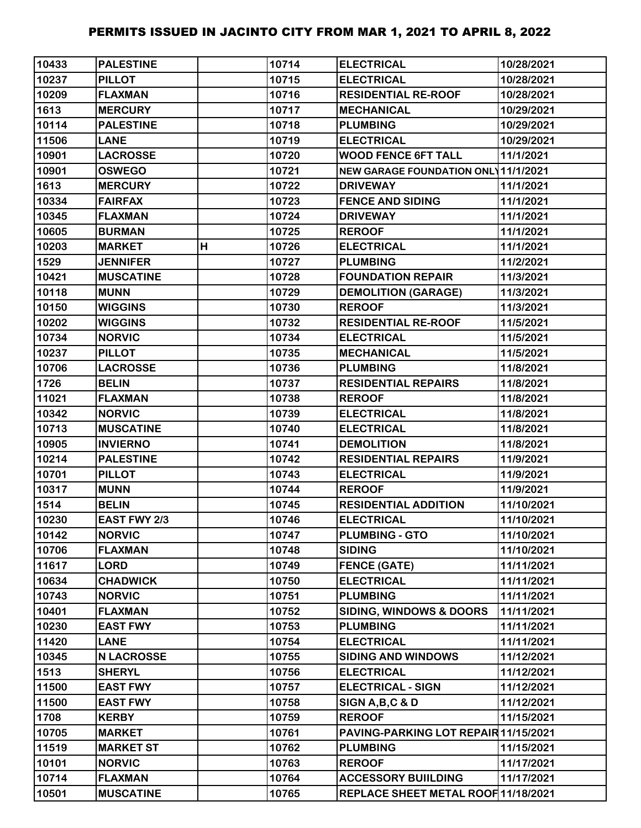| 10433 | <b>PALESTINE</b>    |   | 10714 | <b>ELECTRICAL</b>                    | 10/28/2021 |
|-------|---------------------|---|-------|--------------------------------------|------------|
| 10237 | <b>PILLOT</b>       |   | 10715 | <b>ELECTRICAL</b>                    | 10/28/2021 |
| 10209 | <b>FLAXMAN</b>      |   | 10716 | <b>RESIDENTIAL RE-ROOF</b>           | 10/28/2021 |
| 1613  | <b>MERCURY</b>      |   | 10717 | <b>MECHANICAL</b>                    | 10/29/2021 |
| 10114 | <b>PALESTINE</b>    |   | 10718 | <b>PLUMBING</b>                      | 10/29/2021 |
| 11506 | <b>LANE</b>         |   | 10719 | <b>ELECTRICAL</b>                    | 10/29/2021 |
| 10901 | <b>LACROSSE</b>     |   | 10720 | <b>WOOD FENCE 6FT TALL</b>           | 11/1/2021  |
| 10901 | <b>OSWEGO</b>       |   | 10721 | NEW GARAGE FOUNDATION ONL 11/1/2021  |            |
| 1613  | <b>MERCURY</b>      |   | 10722 | <b>DRIVEWAY</b>                      | 11/1/2021  |
| 10334 | <b>FAIRFAX</b>      |   | 10723 | <b>FENCE AND SIDING</b>              | 11/1/2021  |
| 10345 | <b>FLAXMAN</b>      |   | 10724 | <b>DRIVEWAY</b>                      | 11/1/2021  |
| 10605 | <b>BURMAN</b>       |   | 10725 | <b>REROOF</b>                        | 11/1/2021  |
| 10203 | <b>MARKET</b>       | н | 10726 | <b>ELECTRICAL</b>                    | 11/1/2021  |
| 1529  | <b>JENNIFER</b>     |   | 10727 | <b>PLUMBING</b>                      | 11/2/2021  |
| 10421 | <b>MUSCATINE</b>    |   | 10728 | <b>FOUNDATION REPAIR</b>             | 11/3/2021  |
| 10118 | <b>MUNN</b>         |   | 10729 | <b>DEMOLITION (GARAGE)</b>           | 11/3/2021  |
| 10150 | <b>WIGGINS</b>      |   | 10730 | <b>REROOF</b>                        | 11/3/2021  |
| 10202 | <b>WIGGINS</b>      |   | 10732 | <b>RESIDENTIAL RE-ROOF</b>           | 11/5/2021  |
| 10734 | <b>NORVIC</b>       |   | 10734 | <b>ELECTRICAL</b>                    | 11/5/2021  |
| 10237 | <b>PILLOT</b>       |   | 10735 | <b>MECHANICAL</b>                    | 11/5/2021  |
| 10706 | <b>LACROSSE</b>     |   | 10736 | <b>PLUMBING</b>                      | 11/8/2021  |
| 1726  | <b>BELIN</b>        |   | 10737 | <b>RESIDENTIAL REPAIRS</b>           | 11/8/2021  |
| 11021 | <b>FLAXMAN</b>      |   | 10738 | <b>REROOF</b>                        | 11/8/2021  |
| 10342 | <b>NORVIC</b>       |   | 10739 | <b>ELECTRICAL</b>                    | 11/8/2021  |
| 10713 | <b>MUSCATINE</b>    |   | 10740 | <b>ELECTRICAL</b>                    | 11/8/2021  |
| 10905 | <b>INVIERNO</b>     |   | 10741 | <b>DEMOLITION</b>                    | 11/8/2021  |
| 10214 | <b>PALESTINE</b>    |   | 10742 | <b>RESIDENTIAL REPAIRS</b>           | 11/9/2021  |
| 10701 | <b>PILLOT</b>       |   | 10743 | <b>ELECTRICAL</b>                    | 11/9/2021  |
| 10317 | <b>MUNN</b>         |   | 10744 | <b>REROOF</b>                        | 11/9/2021  |
| 1514  | <b>BELIN</b>        |   | 10745 | <b>RESIDENTIAL ADDITION</b>          | 11/10/2021 |
| 10230 | <b>EAST FWY 2/3</b> |   | 10746 | <b>ELECTRICAL</b>                    | 11/10/2021 |
| 10142 | <b>NORVIC</b>       |   | 10747 | <b>PLUMBING - GTO</b>                | 11/10/2021 |
| 10706 | <b>FLAXMAN</b>      |   | 10748 | <b>SIDING</b>                        | 11/10/2021 |
| 11617 | <b>LORD</b>         |   | 10749 | <b>FENCE (GATE)</b>                  | 11/11/2021 |
| 10634 | <b>CHADWICK</b>     |   | 10750 | <b>ELECTRICAL</b>                    | 11/11/2021 |
| 10743 | <b>NORVIC</b>       |   | 10751 | <b>PLUMBING</b>                      | 11/11/2021 |
| 10401 | <b>FLAXMAN</b>      |   | 10752 | <b>SIDING, WINDOWS &amp; DOORS</b>   | 11/11/2021 |
| 10230 | <b>EAST FWY</b>     |   | 10753 | <b>PLUMBING</b>                      | 11/11/2021 |
| 11420 | <b>LANE</b>         |   | 10754 | <b>ELECTRICAL</b>                    | 11/11/2021 |
| 10345 | <b>N LACROSSE</b>   |   | 10755 | <b>SIDING AND WINDOWS</b>            | 11/12/2021 |
| 1513  | <b>SHERYL</b>       |   | 10756 | <b>ELECTRICAL</b>                    | 11/12/2021 |
| 11500 | <b>EAST FWY</b>     |   | 10757 | <b>ELECTRICAL - SIGN</b>             | 11/12/2021 |
| 11500 | <b>EAST FWY</b>     |   | 10758 | SIGN A, B, C & D                     | 11/12/2021 |
| 1708  | <b>KERBY</b>        |   | 10759 | <b>REROOF</b>                        | 11/15/2021 |
| 10705 | <b>MARKET</b>       |   | 10761 | PAVING-PARKING LOT REPAIR 11/15/2021 |            |
| 11519 | <b>MARKET ST</b>    |   | 10762 | <b>PLUMBING</b>                      | 11/15/2021 |
| 10101 | <b>NORVIC</b>       |   | 10763 | <b>REROOF</b>                        | 11/17/2021 |
| 10714 | <b>FLAXMAN</b>      |   | 10764 | <b>ACCESSORY BUIILDING</b>           | 11/17/2021 |
| 10501 | <b>MUSCATINE</b>    |   | 10765 | REPLACE SHEET METAL ROOF 11/18/2021  |            |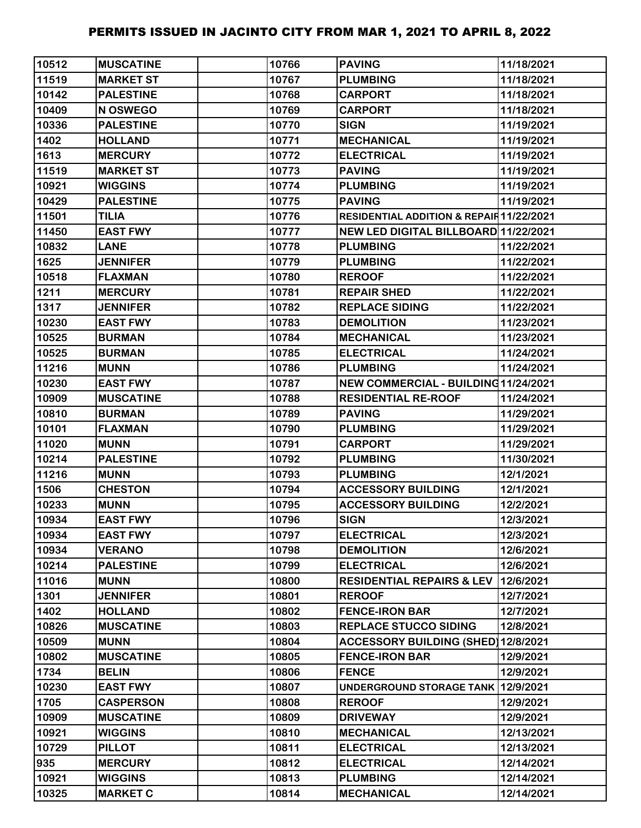| 10512 | IMUSCATINE       | 10766 | <b>PAVING</b>                            | 11/18/2021 |
|-------|------------------|-------|------------------------------------------|------------|
| 11519 | <b>MARKET ST</b> | 10767 | <b>PLUMBING</b>                          | 11/18/2021 |
| 10142 | <b>PALESTINE</b> | 10768 | <b>CARPORT</b>                           | 11/18/2021 |
| 10409 | N OSWEGO         | 10769 | <b>CARPORT</b>                           | 11/18/2021 |
| 10336 | <b>PALESTINE</b> | 10770 | <b>SIGN</b>                              | 11/19/2021 |
| 1402  | <b>HOLLAND</b>   | 10771 | <b>MECHANICAL</b>                        | 11/19/2021 |
| 1613  | <b>MERCURY</b>   | 10772 | <b>ELECTRICAL</b>                        | 11/19/2021 |
| 11519 | <b>MARKET ST</b> | 10773 | <b>PAVING</b>                            | 11/19/2021 |
| 10921 | <b>WIGGINS</b>   | 10774 | <b>PLUMBING</b>                          | 11/19/2021 |
| 10429 | <b>PALESTINE</b> | 10775 | <b>PAVING</b>                            | 11/19/2021 |
| 11501 | <b>TILIA</b>     | 10776 | RESIDENTIAL ADDITION & REPAIR 11/22/2021 |            |
| 11450 | <b>EAST FWY</b>  | 10777 | NEW LED DIGITAL BILLBOARD 11/22/2021     |            |
| 10832 | <b>LANE</b>      | 10778 | <b>PLUMBING</b>                          | 11/22/2021 |
| 1625  | <b>JENNIFER</b>  | 10779 | <b>PLUMBING</b>                          | 11/22/2021 |
| 10518 | <b>FLAXMAN</b>   | 10780 | <b>REROOF</b>                            | 11/22/2021 |
| 1211  | <b>MERCURY</b>   | 10781 | <b>REPAIR SHED</b>                       | 11/22/2021 |
| 1317  | <b>JENNIFER</b>  | 10782 | <b>REPLACE SIDING</b>                    | 11/22/2021 |
| 10230 | <b>EAST FWY</b>  | 10783 | <b>DEMOLITION</b>                        | 11/23/2021 |
| 10525 | <b>BURMAN</b>    | 10784 | <b>MECHANICAL</b>                        | 11/23/2021 |
| 10525 | <b>BURMAN</b>    | 10785 | <b>ELECTRICAL</b>                        | 11/24/2021 |
| 11216 | <b>MUNN</b>      | 10786 | <b>PLUMBING</b>                          | 11/24/2021 |
| 10230 | <b>EAST FWY</b>  | 10787 | NEW COMMERCIAL - BUILDING11/24/2021      |            |
| 10909 | <b>MUSCATINE</b> | 10788 | <b>RESIDENTIAL RE-ROOF</b>               | 11/24/2021 |
| 10810 | <b>BURMAN</b>    | 10789 | <b>PAVING</b>                            | 11/29/2021 |
| 10101 | <b>FLAXMAN</b>   | 10790 | <b>PLUMBING</b>                          | 11/29/2021 |
| 11020 | <b>MUNN</b>      | 10791 | <b>CARPORT</b>                           | 11/29/2021 |
| 10214 | <b>PALESTINE</b> | 10792 | <b>PLUMBING</b>                          | 11/30/2021 |
| 11216 | <b>MUNN</b>      | 10793 | <b>PLUMBING</b>                          | 12/1/2021  |
| 1506  | <b>CHESTON</b>   | 10794 | <b>ACCESSORY BUILDING</b>                | 12/1/2021  |
| 10233 | <b>MUNN</b>      | 10795 | <b>ACCESSORY BUILDING</b>                | 12/2/2021  |
| 10934 | <b>EAST FWY</b>  | 10796 | <b>SIGN</b>                              | 12/3/2021  |
| 10934 | <b>EAST FWY</b>  | 10797 | <b>ELECTRICAL</b>                        | 12/3/2021  |
| 10934 | <b>VERANO</b>    | 10798 | <b>DEMOLITION</b>                        | 12/6/2021  |
| 10214 | <b>PALESTINE</b> | 10799 | <b>ELECTRICAL</b>                        | 12/6/2021  |
| 11016 | <b>MUNN</b>      | 10800 | <b>RESIDENTIAL REPAIRS &amp; LEV</b>     | 12/6/2021  |
| 1301  | <b>JENNIFER</b>  | 10801 | <b>REROOF</b>                            | 12/7/2021  |
| 1402  | <b>HOLLAND</b>   | 10802 | <b>FENCE-IRON BAR</b>                    | 12/7/2021  |
| 10826 | <b>MUSCATINE</b> | 10803 | <b>REPLACE STUCCO SIDING</b>             | 12/8/2021  |
| 10509 | <b>MUNN</b>      | 10804 | ACCESSORY BUILDING (SHED) 12/8/2021      |            |
| 10802 | <b>MUSCATINE</b> | 10805 | <b>FENCE-IRON BAR</b>                    | 12/9/2021  |
| 1734  | <b>BELIN</b>     | 10806 | <b>FENCE</b>                             | 12/9/2021  |
| 10230 | <b>EAST FWY</b>  | 10807 | UNDERGROUND STORAGE TANK 12/9/2021       |            |
| 1705  | <b>CASPERSON</b> | 10808 | <b>REROOF</b>                            | 12/9/2021  |
| 10909 | <b>MUSCATINE</b> | 10809 | <b>DRIVEWAY</b>                          | 12/9/2021  |
| 10921 | <b>WIGGINS</b>   | 10810 | <b>MECHANICAL</b>                        | 12/13/2021 |
| 10729 | <b>PILLOT</b>    | 10811 | <b>ELECTRICAL</b>                        | 12/13/2021 |
| 935   | <b>MERCURY</b>   | 10812 | <b>ELECTRICAL</b>                        | 12/14/2021 |
| 10921 | <b>WIGGINS</b>   | 10813 | <b>PLUMBING</b>                          | 12/14/2021 |
| 10325 | <b>MARKET C</b>  | 10814 | <b>MECHANICAL</b>                        | 12/14/2021 |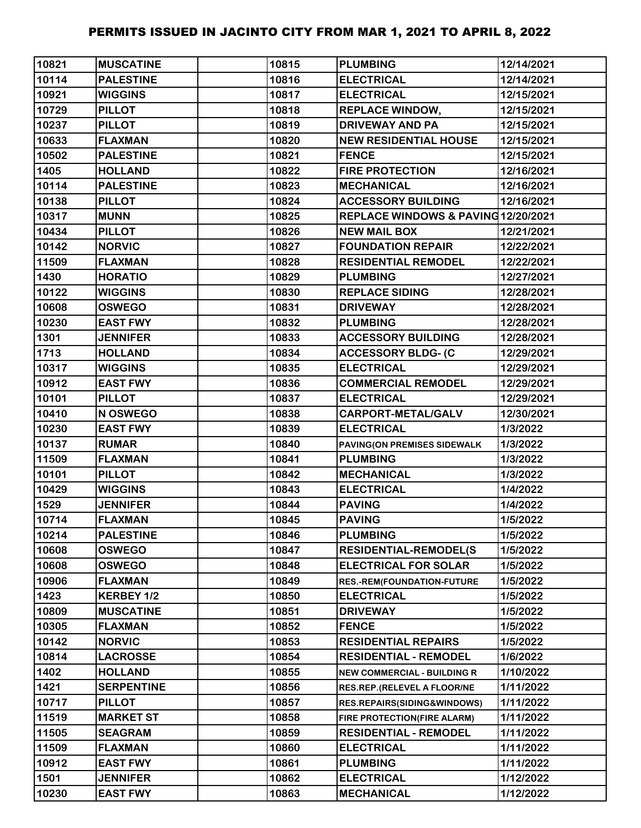| 10821 | <b>MUSCATINE</b>  | 10815 | <b>PLUMBING</b>                     | 12/14/2021 |
|-------|-------------------|-------|-------------------------------------|------------|
| 10114 | <b>PALESTINE</b>  | 10816 | <b>ELECTRICAL</b>                   | 12/14/2021 |
| 10921 | <b>WIGGINS</b>    | 10817 | <b>ELECTRICAL</b>                   | 12/15/2021 |
| 10729 | <b>PILLOT</b>     | 10818 | <b>REPLACE WINDOW,</b>              | 12/15/2021 |
| 10237 | <b>PILLOT</b>     | 10819 | <b>DRIVEWAY AND PA</b>              | 12/15/2021 |
| 10633 | <b>FLAXMAN</b>    | 10820 | <b>NEW RESIDENTIAL HOUSE</b>        | 12/15/2021 |
| 10502 | <b>PALESTINE</b>  | 10821 | <b>FENCE</b>                        | 12/15/2021 |
| 1405  | <b>HOLLAND</b>    | 10822 | <b>FIRE PROTECTION</b>              | 12/16/2021 |
| 10114 | <b>PALESTINE</b>  | 10823 | <b>MECHANICAL</b>                   | 12/16/2021 |
| 10138 | <b>PILLOT</b>     | 10824 | <b>ACCESSORY BUILDING</b>           | 12/16/2021 |
| 10317 | <b>MUNN</b>       | 10825 | REPLACE WINDOWS & PAVING 12/20/2021 |            |
| 10434 | <b>PILLOT</b>     | 10826 | <b>NEW MAIL BOX</b>                 | 12/21/2021 |
| 10142 | <b>NORVIC</b>     | 10827 | <b>FOUNDATION REPAIR</b>            | 12/22/2021 |
| 11509 | <b>FLAXMAN</b>    | 10828 | <b>RESIDENTIAL REMODEL</b>          | 12/22/2021 |
| 1430  | <b>HORATIO</b>    | 10829 | <b>PLUMBING</b>                     | 12/27/2021 |
| 10122 | <b>WIGGINS</b>    | 10830 | <b>REPLACE SIDING</b>               | 12/28/2021 |
| 10608 | <b>OSWEGO</b>     | 10831 | <b>DRIVEWAY</b>                     | 12/28/2021 |
| 10230 | <b>EAST FWY</b>   | 10832 | <b>PLUMBING</b>                     | 12/28/2021 |
| 1301  | <b>JENNIFER</b>   | 10833 | <b>ACCESSORY BUILDING</b>           | 12/28/2021 |
| 1713  | <b>HOLLAND</b>    | 10834 | <b>ACCESSORY BLDG- (C</b>           | 12/29/2021 |
| 10317 | <b>WIGGINS</b>    | 10835 | <b>ELECTRICAL</b>                   | 12/29/2021 |
| 10912 | <b>EAST FWY</b>   | 10836 | <b>COMMERCIAL REMODEL</b>           | 12/29/2021 |
| 10101 | <b>PILLOT</b>     | 10837 | <b>ELECTRICAL</b>                   | 12/29/2021 |
| 10410 | N OSWEGO          | 10838 | CARPORT-METAL/GALV                  | 12/30/2021 |
| 10230 | <b>EAST FWY</b>   | 10839 | <b>ELECTRICAL</b>                   | 1/3/2022   |
| 10137 | <b>RUMAR</b>      | 10840 | PAVING(ON PREMISES SIDEWALK         | 1/3/2022   |
| 11509 | <b>FLAXMAN</b>    | 10841 | <b>PLUMBING</b>                     | 1/3/2022   |
| 10101 | <b>PILLOT</b>     | 10842 | <b>MECHANICAL</b>                   | 1/3/2022   |
| 10429 | <b>WIGGINS</b>    | 10843 | <b>ELECTRICAL</b>                   | 1/4/2022   |
| 1529  | <b>JENNIFER</b>   | 10844 | <b>PAVING</b>                       | 1/4/2022   |
| 10714 | <b>FLAXMAN</b>    | 10845 | <b>PAVING</b>                       | 1/5/2022   |
| 10214 | <b>PALESTINE</b>  | 10846 | <b>PLUMBING</b>                     | 1/5/2022   |
| 10608 | <b>OSWEGO</b>     | 10847 | <b>RESIDENTIAL-REMODEL(S</b>        | 1/5/2022   |
| 10608 | <b>OSWEGO</b>     | 10848 | <b>ELECTRICAL FOR SOLAR</b>         | 1/5/2022   |
| 10906 | <b>FLAXMAN</b>    | 10849 | RES.-REM(FOUNDATION-FUTURE          | 1/5/2022   |
| 1423  | KERBEY 1/2        | 10850 | <b>ELECTRICAL</b>                   | 1/5/2022   |
| 10809 | <b>MUSCATINE</b>  | 10851 | <b>DRIVEWAY</b>                     | 1/5/2022   |
| 10305 | <b>FLAXMAN</b>    | 10852 | <b>FENCE</b>                        | 1/5/2022   |
| 10142 | <b>NORVIC</b>     | 10853 | <b>RESIDENTIAL REPAIRS</b>          | 1/5/2022   |
| 10814 | <b>LACROSSE</b>   | 10854 | <b>RESIDENTIAL - REMODEL</b>        | 1/6/2022   |
| 1402  | <b>HOLLAND</b>    | 10855 | <b>NEW COMMERCIAL - BUILDING R</b>  | 1/10/2022  |
| 1421  | <b>SERPENTINE</b> | 10856 | RES.REP.(RELEVEL A FLOOR/NE         | 1/11/2022  |
| 10717 | <b>PILLOT</b>     | 10857 | RES.REPAIRS(SIDING&WINDOWS)         | 1/11/2022  |
| 11519 | <b>MARKET ST</b>  | 10858 | FIRE PROTECTION(FIRE ALARM)         | 1/11/2022  |
| 11505 | <b>SEAGRAM</b>    | 10859 | <b>RESIDENTIAL - REMODEL</b>        | 1/11/2022  |
| 11509 | <b>FLAXMAN</b>    | 10860 | <b>ELECTRICAL</b>                   | 1/11/2022  |
| 10912 | <b>EAST FWY</b>   | 10861 | <b>PLUMBING</b>                     | 1/11/2022  |
| 1501  | <b>JENNIFER</b>   | 10862 | <b>ELECTRICAL</b>                   | 1/12/2022  |
| 10230 | <b>EAST FWY</b>   | 10863 | <b>MECHANICAL</b>                   | 1/12/2022  |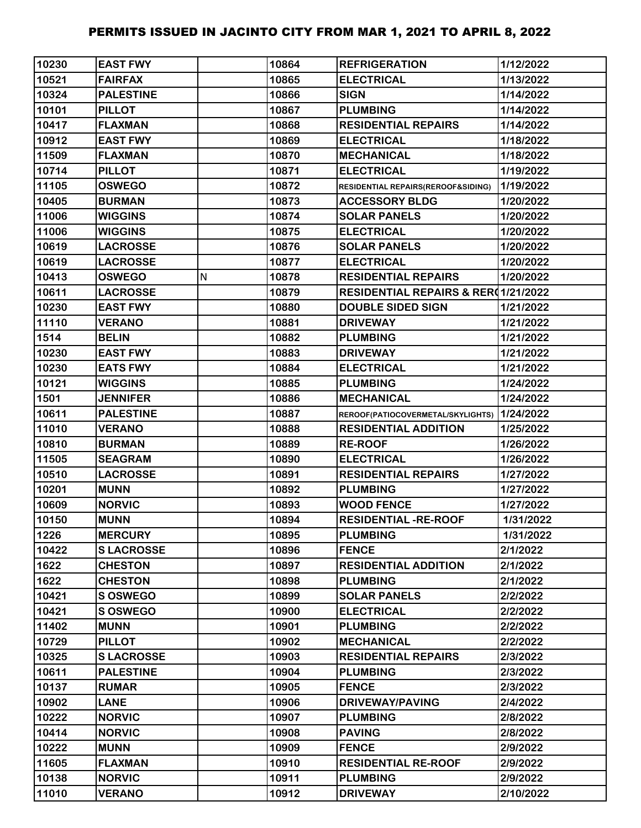| 10230 | <b>EAST FWY</b>  |   | 10864 | <b>REFRIGERATION</b>                | 1/12/2022 |
|-------|------------------|---|-------|-------------------------------------|-----------|
| 10521 | <b>FAIRFAX</b>   |   | 10865 | <b>ELECTRICAL</b>                   | 1/13/2022 |
| 10324 | <b>PALESTINE</b> |   | 10866 | <b>SIGN</b>                         | 1/14/2022 |
| 10101 | <b>PILLOT</b>    |   | 10867 | <b>PLUMBING</b>                     | 1/14/2022 |
| 10417 | <b>FLAXMAN</b>   |   | 10868 | <b>RESIDENTIAL REPAIRS</b>          | 1/14/2022 |
| 10912 | <b>EAST FWY</b>  |   | 10869 | <b>ELECTRICAL</b>                   | 1/18/2022 |
| 11509 | <b>FLAXMAN</b>   |   | 10870 | <b>MECHANICAL</b>                   | 1/18/2022 |
| 10714 | <b>PILLOT</b>    |   | 10871 | <b>ELECTRICAL</b>                   | 1/19/2022 |
| 11105 | <b>OSWEGO</b>    |   | 10872 | RESIDENTIAL REPAIRS(REROOF&SIDING)  | 1/19/2022 |
| 10405 | <b>BURMAN</b>    |   | 10873 | <b>ACCESSORY BLDG</b>               | 1/20/2022 |
| 11006 | <b>WIGGINS</b>   |   | 10874 | <b>SOLAR PANELS</b>                 | 1/20/2022 |
| 11006 | <b>WIGGINS</b>   |   | 10875 | <b>ELECTRICAL</b>                   | 1/20/2022 |
| 10619 | <b>LACROSSE</b>  |   | 10876 | <b>SOLAR PANELS</b>                 | 1/20/2022 |
| 10619 | <b>LACROSSE</b>  |   | 10877 | <b>ELECTRICAL</b>                   | 1/20/2022 |
| 10413 | <b>OSWEGO</b>    | N | 10878 | <b>RESIDENTIAL REPAIRS</b>          | 1/20/2022 |
| 10611 | <b>LACROSSE</b>  |   | 10879 | RESIDENTIAL REPAIRS & RER(1/21/2022 |           |
| 10230 | <b>EAST FWY</b>  |   | 10880 | <b>DOUBLE SIDED SIGN</b>            | 1/21/2022 |
| 11110 | <b>VERANO</b>    |   | 10881 | <b>DRIVEWAY</b>                     | 1/21/2022 |
| 1514  | <b>BELIN</b>     |   | 10882 | <b>PLUMBING</b>                     | 1/21/2022 |
| 10230 | <b>EAST FWY</b>  |   | 10883 | <b>DRIVEWAY</b>                     | 1/21/2022 |
| 10230 | <b>EATS FWY</b>  |   | 10884 | <b>ELECTRICAL</b>                   | 1/21/2022 |
| 10121 | <b>WIGGINS</b>   |   | 10885 | <b>PLUMBING</b>                     | 1/24/2022 |
| 1501  | <b>JENNIFER</b>  |   | 10886 | <b>MECHANICAL</b>                   | 1/24/2022 |
| 10611 | <b>PALESTINE</b> |   | 10887 | REROOF(PATIOCOVERMETAL/SKYLIGHTS)   | 1/24/2022 |
| 11010 | <b>VERANO</b>    |   | 10888 | <b>RESIDENTIAL ADDITION</b>         | 1/25/2022 |
| 10810 | <b>BURMAN</b>    |   | 10889 | <b>RE-ROOF</b>                      | 1/26/2022 |
| 11505 | <b>SEAGRAM</b>   |   | 10890 | <b>ELECTRICAL</b>                   | 1/26/2022 |
| 10510 | <b>LACROSSE</b>  |   | 10891 | <b>RESIDENTIAL REPAIRS</b>          | 1/27/2022 |
| 10201 | <b>MUNN</b>      |   | 10892 | <b>PLUMBING</b>                     | 1/27/2022 |
| 10609 | <b>NORVIC</b>    |   | 10893 | <b>WOOD FENCE</b>                   | 1/27/2022 |
| 10150 | <b>MUNN</b>      |   | 10894 | <b>RESIDENTIAL -RE-ROOF</b>         | 1/31/2022 |
| 1226  | <b>MERCURY</b>   |   | 10895 | <b>PLUMBING</b>                     | 1/31/2022 |
| 10422 | <b>SLACROSSE</b> |   | 10896 | <b>FENCE</b>                        | 2/1/2022  |
| 1622  | <b>CHESTON</b>   |   | 10897 | <b>RESIDENTIAL ADDITION</b>         | 2/1/2022  |
| 1622  | <b>CHESTON</b>   |   | 10898 | <b>PLUMBING</b>                     | 2/1/2022  |
| 10421 | <b>SOSWEGO</b>   |   | 10899 | <b>SOLAR PANELS</b>                 | 2/2/2022  |
| 10421 | <b>S OSWEGO</b>  |   | 10900 | <b>ELECTRICAL</b>                   | 2/2/2022  |
| 11402 | <b>MUNN</b>      |   | 10901 | <b>PLUMBING</b>                     | 2/2/2022  |
| 10729 | <b>PILLOT</b>    |   | 10902 | <b>MECHANICAL</b>                   | 2/2/2022  |
| 10325 | <b>SLACROSSE</b> |   | 10903 | <b>RESIDENTIAL REPAIRS</b>          | 2/3/2022  |
| 10611 | <b>PALESTINE</b> |   | 10904 | <b>PLUMBING</b>                     | 2/3/2022  |
| 10137 | <b>RUMAR</b>     |   | 10905 | <b>FENCE</b>                        | 2/3/2022  |
| 10902 | <b>LANE</b>      |   | 10906 | <b>DRIVEWAY/PAVING</b>              | 2/4/2022  |
| 10222 | <b>NORVIC</b>    |   | 10907 | <b>PLUMBING</b>                     | 2/8/2022  |
| 10414 | <b>NORVIC</b>    |   | 10908 | <b>PAVING</b>                       | 2/8/2022  |
| 10222 | <b>MUNN</b>      |   | 10909 | <b>FENCE</b>                        | 2/9/2022  |
| 11605 | <b>FLAXMAN</b>   |   | 10910 | <b>RESIDENTIAL RE-ROOF</b>          | 2/9/2022  |
| 10138 | <b>NORVIC</b>    |   | 10911 | <b>PLUMBING</b>                     | 2/9/2022  |
| 11010 | <b>VERANO</b>    |   | 10912 | <b>DRIVEWAY</b>                     | 2/10/2022 |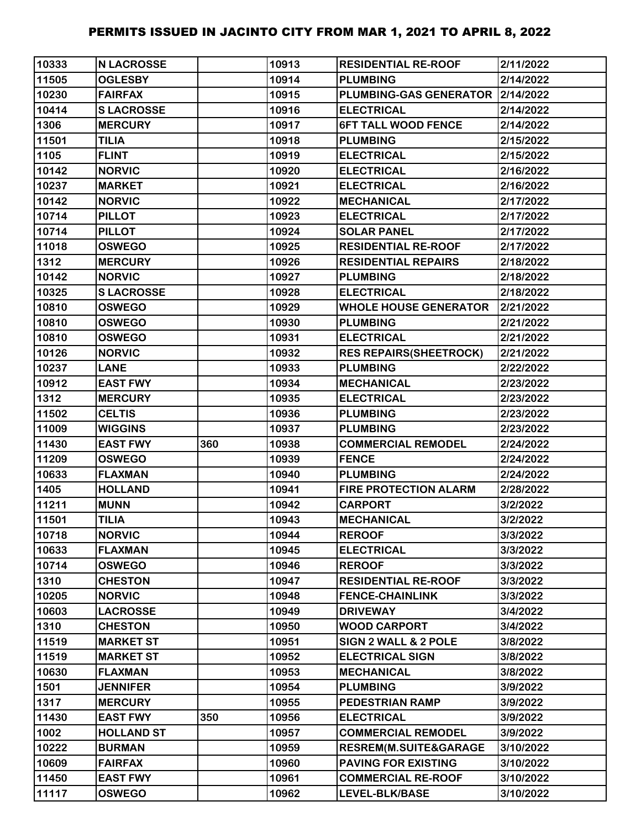| 10333 | <b>N LACROSSE</b> |     | 10913 | <b>RESIDENTIAL RE-ROOF</b>    | 2/11/2022 |
|-------|-------------------|-----|-------|-------------------------------|-----------|
| 11505 | <b>OGLESBY</b>    |     | 10914 | <b>PLUMBING</b>               | 2/14/2022 |
| 10230 | <b>FAIRFAX</b>    |     | 10915 | <b>PLUMBING-GAS GENERATOR</b> | 2/14/2022 |
| 10414 | <b>SLACROSSE</b>  |     | 10916 | <b>ELECTRICAL</b>             | 2/14/2022 |
| 1306  | <b>MERCURY</b>    |     | 10917 | <b>6FT TALL WOOD FENCE</b>    | 2/14/2022 |
| 11501 | <b>TILIA</b>      |     | 10918 | <b>PLUMBING</b>               | 2/15/2022 |
| 1105  | <b>FLINT</b>      |     | 10919 | <b>ELECTRICAL</b>             | 2/15/2022 |
| 10142 | <b>NORVIC</b>     |     | 10920 | <b>ELECTRICAL</b>             | 2/16/2022 |
| 10237 | <b>MARKET</b>     |     | 10921 | <b>ELECTRICAL</b>             | 2/16/2022 |
| 10142 | <b>NORVIC</b>     |     | 10922 | <b>MECHANICAL</b>             | 2/17/2022 |
| 10714 | <b>PILLOT</b>     |     | 10923 | <b>ELECTRICAL</b>             | 2/17/2022 |
| 10714 | <b>PILLOT</b>     |     | 10924 | <b>SOLAR PANEL</b>            | 2/17/2022 |
| 11018 | <b>OSWEGO</b>     |     | 10925 | <b>RESIDENTIAL RE-ROOF</b>    | 2/17/2022 |
| 1312  | <b>MERCURY</b>    |     | 10926 | <b>RESIDENTIAL REPAIRS</b>    | 2/18/2022 |
| 10142 | <b>NORVIC</b>     |     | 10927 | <b>PLUMBING</b>               | 2/18/2022 |
| 10325 | <b>SLACROSSE</b>  |     | 10928 | <b>ELECTRICAL</b>             | 2/18/2022 |
| 10810 | <b>OSWEGO</b>     |     | 10929 | <b>WHOLE HOUSE GENERATOR</b>  | 2/21/2022 |
| 10810 | <b>OSWEGO</b>     |     | 10930 | <b>PLUMBING</b>               | 2/21/2022 |
| 10810 | <b>OSWEGO</b>     |     | 10931 | <b>ELECTRICAL</b>             | 2/21/2022 |
| 10126 | <b>NORVIC</b>     |     | 10932 | <b>RES REPAIRS(SHEETROCK)</b> | 2/21/2022 |
| 10237 | <b>LANE</b>       |     | 10933 | <b>PLUMBING</b>               | 2/22/2022 |
| 10912 | <b>EAST FWY</b>   |     | 10934 | <b>MECHANICAL</b>             | 2/23/2022 |
| 1312  | <b>MERCURY</b>    |     | 10935 | <b>ELECTRICAL</b>             | 2/23/2022 |
| 11502 | <b>CELTIS</b>     |     | 10936 | <b>PLUMBING</b>               | 2/23/2022 |
| 11009 | <b>WIGGINS</b>    |     | 10937 | <b>PLUMBING</b>               | 2/23/2022 |
| 11430 | <b>EAST FWY</b>   | 360 | 10938 | <b>COMMERCIAL REMODEL</b>     | 2/24/2022 |
| 11209 | <b>OSWEGO</b>     |     | 10939 | <b>FENCE</b>                  | 2/24/2022 |
| 10633 | <b>FLAXMAN</b>    |     | 10940 | <b>PLUMBING</b>               | 2/24/2022 |
| 1405  | <b>HOLLAND</b>    |     | 10941 | <b>FIRE PROTECTION ALARM</b>  | 2/28/2022 |
| 11211 | <b>MUNN</b>       |     | 10942 | <b>CARPORT</b>                | 3/2/2022  |
| 11501 | <b>TILIA</b>      |     | 10943 | <b>MECHANICAL</b>             | 3/2/2022  |
| 10718 | <b>NORVIC</b>     |     | 10944 | <b>REROOF</b>                 | 3/3/2022  |
| 10633 | <b>FLAXMAN</b>    |     | 10945 | <b>ELECTRICAL</b>             | 3/3/2022  |
| 10714 | <b>OSWEGO</b>     |     | 10946 | <b>REROOF</b>                 | 3/3/2022  |
| 1310  | <b>CHESTON</b>    |     | 10947 | <b>RESIDENTIAL RE-ROOF</b>    | 3/3/2022  |
| 10205 | <b>NORVIC</b>     |     | 10948 | <b>FENCE-CHAINLINK</b>        | 3/3/2022  |
| 10603 | <b>LACROSSE</b>   |     | 10949 | <b>DRIVEWAY</b>               | 3/4/2022  |
| 1310  | <b>CHESTON</b>    |     | 10950 | <b>WOOD CARPORT</b>           | 3/4/2022  |
| 11519 | <b>MARKET ST</b>  |     | 10951 | SIGN 2 WALL & 2 POLE          | 3/8/2022  |
| 11519 | <b>MARKET ST</b>  |     | 10952 | <b>ELECTRICAL SIGN</b>        | 3/8/2022  |
| 10630 | <b>FLAXMAN</b>    |     | 10953 | <b>MECHANICAL</b>             | 3/8/2022  |
| 1501  | <b>JENNIFER</b>   |     | 10954 | <b>PLUMBING</b>               | 3/9/2022  |
| 1317  | <b>MERCURY</b>    |     | 10955 | <b>PEDESTRIAN RAMP</b>        | 3/9/2022  |
| 11430 | <b>EAST FWY</b>   | 350 | 10956 | <b>ELECTRICAL</b>             | 3/9/2022  |
| 1002  | <b>HOLLAND ST</b> |     | 10957 | <b>COMMERCIAL REMODEL</b>     | 3/9/2022  |
| 10222 | <b>BURMAN</b>     |     | 10959 | RESREM(M.SUITE&GARAGE         | 3/10/2022 |
| 10609 | <b>FAIRFAX</b>    |     | 10960 | <b>PAVING FOR EXISTING</b>    | 3/10/2022 |
| 11450 | <b>EAST FWY</b>   |     | 10961 | <b>COMMERCIAL RE-ROOF</b>     | 3/10/2022 |
| 11117 | <b>OSWEGO</b>     |     | 10962 | LEVEL-BLK/BASE                | 3/10/2022 |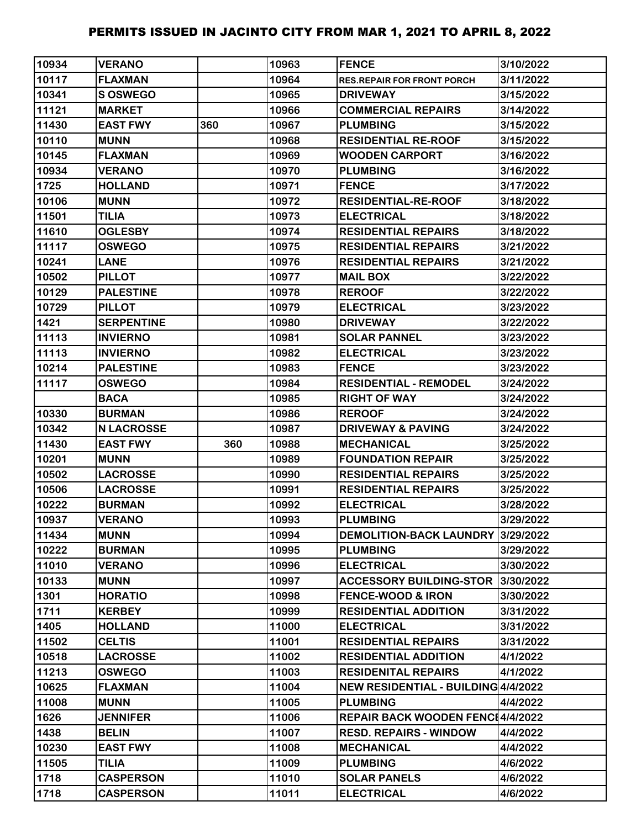| 10934        | <b>VERANO</b>                        |     | 10963          | <b>FENCE</b>                             | 3/10/2022            |
|--------------|--------------------------------------|-----|----------------|------------------------------------------|----------------------|
| 10117        | <b>FLAXMAN</b>                       |     | 10964          | <b>RES.REPAIR FOR FRONT PORCH</b>        | 3/11/2022            |
| 10341        | S OSWEGO                             |     | 10965          | <b>DRIVEWAY</b>                          | 3/15/2022            |
| 11121        | <b>MARKET</b>                        |     | 10966          | <b>COMMERCIAL REPAIRS</b>                | 3/14/2022            |
| 11430        | <b>EAST FWY</b>                      | 360 | 10967          | <b>PLUMBING</b>                          | 3/15/2022            |
| 10110        | <b>MUNN</b>                          |     | 10968          | <b>RESIDENTIAL RE-ROOF</b>               | 3/15/2022            |
| 10145        | <b>FLAXMAN</b>                       |     | 10969          | <b>WOODEN CARPORT</b>                    | 3/16/2022            |
| 10934        | <b>VERANO</b>                        |     | 10970          | <b>PLUMBING</b>                          | 3/16/2022            |
| 1725         | <b>HOLLAND</b>                       |     | 10971          | <b>FENCE</b>                             | 3/17/2022            |
| 10106        | <b>MUNN</b>                          |     | 10972          | <b>RESIDENTIAL-RE-ROOF</b>               | 3/18/2022            |
| 11501        | <b>TILIA</b>                         |     | 10973          | <b>ELECTRICAL</b>                        | 3/18/2022            |
| 11610        | <b>OGLESBY</b>                       |     | 10974          | <b>RESIDENTIAL REPAIRS</b>               | 3/18/2022            |
| 11117        | <b>OSWEGO</b>                        |     | 10975          | <b>RESIDENTIAL REPAIRS</b>               | 3/21/2022            |
| 10241        | <b>LANE</b>                          |     | 10976          | <b>RESIDENTIAL REPAIRS</b>               | 3/21/2022            |
| 10502        | <b>PILLOT</b>                        |     | 10977          | <b>MAIL BOX</b>                          | 3/22/2022            |
| 10129        | <b>PALESTINE</b>                     |     | 10978          | <b>REROOF</b>                            | 3/22/2022            |
| 10729        | <b>PILLOT</b>                        |     | 10979          | <b>ELECTRICAL</b>                        | 3/23/2022            |
| 1421         | <b>SERPENTINE</b>                    |     | 10980          | <b>DRIVEWAY</b>                          | 3/22/2022            |
| 11113        | <b>INVIERNO</b>                      |     | 10981          | <b>SOLAR PANNEL</b>                      | 3/23/2022            |
| 11113        | <b>INVIERNO</b>                      |     | 10982          | <b>ELECTRICAL</b>                        | 3/23/2022            |
| 10214        | <b>PALESTINE</b>                     |     | 10983          | <b>FENCE</b>                             | 3/23/2022            |
| 11117        | <b>OSWEGO</b>                        |     | 10984          | <b>RESIDENTIAL - REMODEL</b>             | 3/24/2022            |
|              | <b>BACA</b>                          |     | 10985          | <b>RIGHT OF WAY</b>                      | 3/24/2022            |
| 10330        | <b>BURMAN</b>                        |     | 10986          | <b>REROOF</b>                            | 3/24/2022            |
|              |                                      |     |                |                                          |                      |
| 10342        | <b>N LACROSSE</b>                    |     | 10987          | <b>DRIVEWAY &amp; PAVING</b>             | 3/24/2022            |
| 11430        | <b>EAST FWY</b>                      | 360 | 10988          | <b>MECHANICAL</b>                        | 3/25/2022            |
| 10201        | <b>MUNN</b>                          |     | 10989          | <b>FOUNDATION REPAIR</b>                 | 3/25/2022            |
| 10502        | <b>LACROSSE</b>                      |     | 10990          | <b>RESIDENTIAL REPAIRS</b>               | 3/25/2022            |
| 10506        | <b>LACROSSE</b>                      |     | 10991          | <b>RESIDENTIAL REPAIRS</b>               | 3/25/2022            |
| 10222        | <b>BURMAN</b>                        |     | 10992          | <b>ELECTRICAL</b>                        | 3/28/2022            |
| 10937        | <b>VERANO</b>                        |     | 10993          | <b>PLUMBING</b>                          | 3/29/2022            |
| 11434        | <b>MUNN</b>                          |     | 10994          | <b>DEMOLITION-BACK LAUNDRY</b>           | 3/29/2022            |
| 10222        | <b>BURMAN</b>                        |     | 10995          | <b>PLUMBING</b>                          | 3/29/2022            |
| 11010        | <b>VERANO</b>                        |     | 10996          | <b>ELECTRICAL</b>                        | 3/30/2022            |
| 10133        | <b>MUNN</b>                          |     | 10997          | <b>ACCESSORY BUILDING-STOR</b>           | 3/30/2022            |
| 1301         | <b>HORATIO</b>                       |     | 10998          | <b>FENCE-WOOD &amp; IRON</b>             | 3/30/2022            |
| 1711         | <b>KERBEY</b>                        |     | 10999          | <b>RESIDENTIAL ADDITION</b>              | 3/31/2022            |
| 1405         | <b>HOLLAND</b>                       |     | 11000          | <b>ELECTRICAL</b>                        | 3/31/2022            |
| 11502        | <b>CELTIS</b>                        |     | 11001          | <b>RESIDENTIAL REPAIRS</b>               | 3/31/2022            |
| 10518        | <b>LACROSSE</b>                      |     | 11002          | <b>RESIDENTIAL ADDITION</b>              | 4/1/2022             |
| 11213        | <b>OSWEGO</b>                        |     | 11003          | <b>RESIDENITAL REPAIRS</b>               | 4/1/2022             |
| 10625        | <b>FLAXMAN</b>                       |     | 11004          | NEW RESIDENTIAL - BUILDING 4/4/2022      |                      |
| 11008        | <b>MUNN</b>                          |     | 11005          | <b>PLUMBING</b>                          | 4/4/2022             |
| 1626         | <b>JENNIFER</b>                      |     | 11006          | REPAIR BACK WOODEN FENC14/4/2022         |                      |
| 1438         | <b>BELIN</b>                         |     | 11007          | <b>RESD. REPAIRS - WINDOW</b>            | 4/4/2022             |
| 10230        | <b>EAST FWY</b>                      |     | 11008          | <b>MECHANICAL</b>                        | 4/4/2022             |
| 11505        | <b>TILIA</b>                         |     | 11009          | <b>PLUMBING</b>                          | 4/6/2022             |
| 1718<br>1718 | <b>CASPERSON</b><br><b>CASPERSON</b> |     | 11010<br>11011 | <b>SOLAR PANELS</b><br><b>ELECTRICAL</b> | 4/6/2022<br>4/6/2022 |